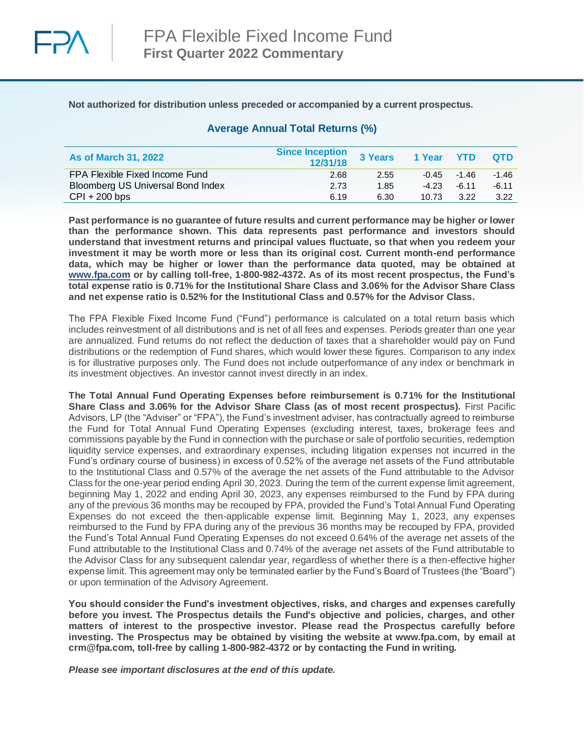

## **Not authorized for distribution unless preceded or accompanied by a current prospectus.**

# **Average Annual Total Returns (%)**

| <b>As of March 31, 2022</b>       | <b>Since Inception</b><br>12/31/18 | 3 Years | 1 Year YTD |               | <b>OTD</b> |
|-----------------------------------|------------------------------------|---------|------------|---------------|------------|
| FPA Flexible Fixed Income Fund    | 2.68                               | 2.55    |            | $-0.45 -1.46$ | $-1.46$    |
| Bloomberg US Universal Bond Index | 2.73                               | 1.85    | $-4.23$    | $-6.11$       | $-6.11$    |
| $CPI + 200$ bps                   | 6.19                               | 6.30    | 10.73      | 3.22          | 3.22       |

**Past performance is no guarantee of future results and current performance may be higher or lower than the performance shown. This data represents past performance and investors should understand that investment returns and principal values fluctuate, so that when you redeem your investment it may be worth more or less than its original cost. Current month-end performance data, which may be higher or lower than the performance data quoted, may be obtained at [www.fpa.com](http://www.fpa.com/) or by calling toll-free, 1-800-982-4372. As of its most recent prospectus, the Fund's total expense ratio is 0.71% for the Institutional Share Class and 3.06% for the Advisor Share Class and net expense ratio is 0.52% for the Institutional Class and 0.57% for the Advisor Class.**

The FPA Flexible Fixed Income Fund ("Fund") performance is calculated on a total return basis which includes reinvestment of all distributions and is net of all fees and expenses. Periods greater than one year are annualized. Fund returns do not reflect the deduction of taxes that a shareholder would pay on Fund distributions or the redemption of Fund shares, which would lower these figures. Comparison to any index is for illustrative purposes only. The Fund does not include outperformance of any index or benchmark in its investment objectives. An investor cannot invest directly in an index.

**The Total Annual Fund Operating Expenses before reimbursement is 0.71% for the Institutional Share Class and 3.06% for the Advisor Share Class (as of most recent prospectus).** First Pacific Advisors, LP (the "Adviser" or "FPA"), the Fund's investment adviser, has contractually agreed to reimburse the Fund for Total Annual Fund Operating Expenses (excluding interest, taxes, brokerage fees and commissions payable by the Fund in connection with the purchase or sale of portfolio securities, redemption liquidity service expenses, and extraordinary expenses, including litigation expenses not incurred in the Fund's ordinary course of business) in excess of 0.52% of the average net assets of the Fund attributable to the Institutional Class and 0.57% of the average the net assets of the Fund attributable to the Advisor Class for the one-year period ending April 30, 2023. During the term of the current expense limit agreement, beginning May 1, 2022 and ending April 30, 2023, any expenses reimbursed to the Fund by FPA during any of the previous 36 months may be recouped by FPA, provided the Fund's Total Annual Fund Operating Expenses do not exceed the then-applicable expense limit. Beginning May 1, 2023, any expenses reimbursed to the Fund by FPA during any of the previous 36 months may be recouped by FPA, provided the Fund's Total Annual Fund Operating Expenses do not exceed 0.64% of the average net assets of the Fund attributable to the Institutional Class and 0.74% of the average net assets of the Fund attributable to the Advisor Class for any subsequent calendar year, regardless of whether there is a then-effective higher expense limit. This agreement may only be terminated earlier by the Fund's Board of Trustees (the "Board") or upon termination of the Advisory Agreement.

**You should consider the Fund's investment objectives, risks, and charges and expenses carefully before you invest. The Prospectus details the Fund's objective and policies, charges, and other matters of interest to the prospective investor. Please read the Prospectus carefully before investing. The Prospectus may be obtained by visiting the website at www.fpa.com, by email at crm@fpa.com, toll-free by calling 1-800-982-4372 or by contacting the Fund in writing.**

*Please see important disclosures at the end of this update.*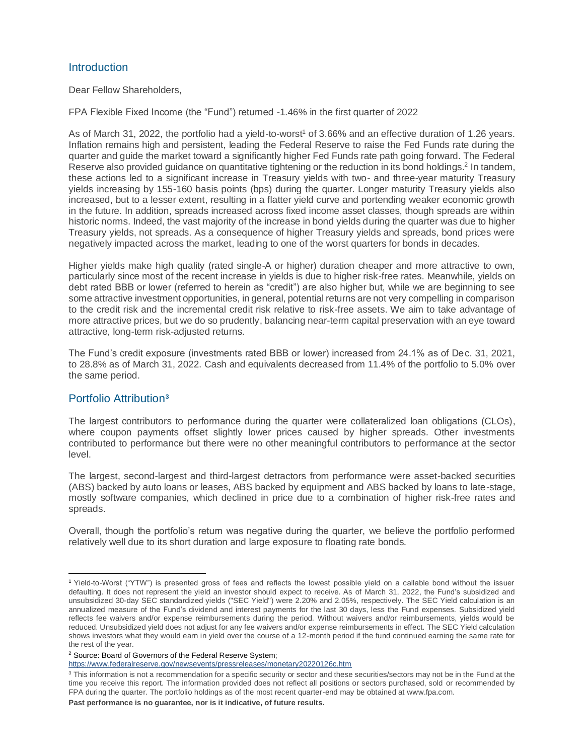# **Introduction**

Dear Fellow Shareholders,

FPA Flexible Fixed Income (the "Fund") returned -1.46% in the first quarter of 2022

As of March 31, 2022, the portfolio had a yield-to-worst<sup>1</sup> of 3.66% and an effective duration of 1.26 years. Inflation remains high and persistent, leading the Federal Reserve to raise the Fed Funds rate during the quarter and guide the market toward a significantly higher Fed Funds rate path going forward. The Federal Reserve also provided guidance on quantitative tightening or the reduction in its bond holdings.<sup>2</sup> In tandem, these actions led to a significant increase in Treasury yields with two- and three-year maturity Treasury yields increasing by 155-160 basis points (bps) during the quarter. Longer maturity Treasury yields also increased, but to a lesser extent, resulting in a flatter yield curve and portending weaker economic growth in the future. In addition, spreads increased across fixed income asset classes, though spreads are within historic norms. Indeed, the vast majority of the increase in bond yields during the quarter was due to higher Treasury yields, not spreads. As a consequence of higher Treasury yields and spreads, bond prices were negatively impacted across the market, leading to one of the worst quarters for bonds in decades.

Higher yields make high quality (rated single-A or higher) duration cheaper and more attractive to own, particularly since most of the recent increase in yields is due to higher risk-free rates. Meanwhile, yields on debt rated BBB or lower (referred to herein as "credit") are also higher but, while we are beginning to see some attractive investment opportunities, in general, potential returns are not very compelling in comparison to the credit risk and the incremental credit risk relative to risk-free assets. We aim to take advantage of more attractive prices, but we do so prudently, balancing near-term capital preservation with an eye toward attractive, long-term risk-adjusted returns.

The Fund's credit exposure (investments rated BBB or lower) increased from 24.1% as of Dec. 31, 2021, to 28.8% as of March 31, 2022. Cash and equivalents decreased from 11.4% of the portfolio to 5.0% over the same period.

# Portfolio Attribution**<sup>3</sup>**

The largest contributors to performance during the quarter were collateralized loan obligations (CLOs), where coupon payments offset slightly lower prices caused by higher spreads. Other investments contributed to performance but there were no other meaningful contributors to performance at the sector level.

The largest, second-largest and third-largest detractors from performance were asset-backed securities (ABS) backed by auto loans or leases, ABS backed by equipment and ABS backed by loans to late-stage, mostly software companies, which declined in price due to a combination of higher risk-free rates and spreads.

Overall, though the portfolio's return was negative during the quarter, we believe the portfolio performed relatively well due to its short duration and large exposure to floating rate bonds.

<https://www.federalreserve.gov/newsevents/pressreleases/monetary20220126c.htm>

<sup>1</sup> Yield-to-Worst ("YTW") is presented gross of fees and reflects the lowest possible yield on a callable bond without the issuer defaulting. It does not represent the yield an investor should expect to receive. As of March 31, 2022, the Fund's subsidized and unsubsidized 30-day SEC standardized yields ("SEC Yield") were 2.20% and 2.05%, respectively. The SEC Yield calculation is an annualized measure of the Fund's dividend and interest payments for the last 30 days, less the Fund expenses. Subsidized yield reflects fee waivers and/or expense reimbursements during the period. Without waivers and/or reimbursements, yields would be reduced. Unsubsidized yield does not adjust for any fee waivers and/or expense reimbursements in effect. The SEC Yield calculation shows investors what they would earn in yield over the course of a 12-month period if the fund continued earning the same rate for the rest of the year.

<sup>2</sup> Source: Board of Governors of the Federal Reserve System;

<sup>&</sup>lt;sup>3</sup> This information is not a recommendation for a specific security or sector and these securities/sectors may not be in the Fund at the time you receive this report. The information provided does not reflect all positions or sectors purchased, sold or recommended by FPA during the quarter. The portfolio holdings as of the most recent quarter-end may be obtained at [www.fpa.com.](http://www.fpa.com/)

**Past performance is no guarantee, nor is it indicative, of future results.**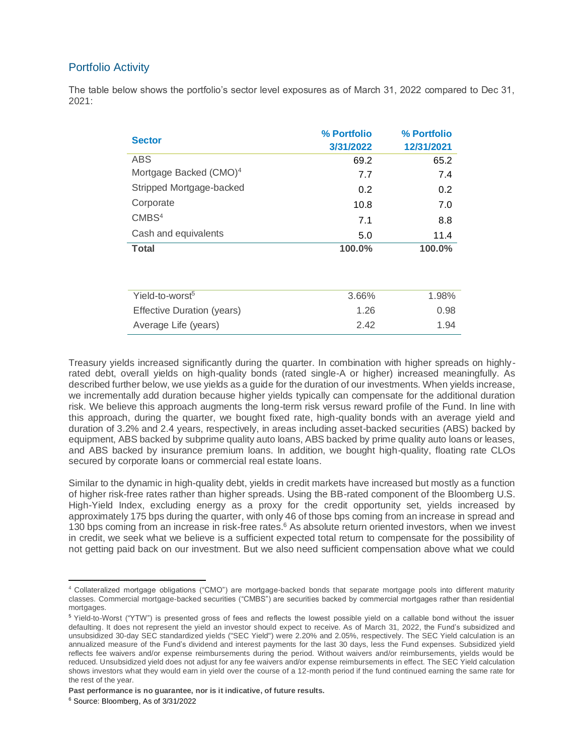# Portfolio Activity

The table below shows the portfolio's sector level exposures as of March 31, 2022 compared to Dec 31, 2021:

| <b>Sector</b>                      | % Portfolio<br>3/31/2022 | % Portfolio<br>12/31/2021 |
|------------------------------------|--------------------------|---------------------------|
| ABS                                | 69.2                     | 65.2                      |
| Mortgage Backed (CMO) <sup>4</sup> | 7.7                      | 7.4                       |
| Stripped Mortgage-backed           | 0.2                      | 0.2                       |
| Corporate                          | 10.8                     | 7.0                       |
| CMBS <sup>4</sup>                  | 7.1                      | 8.8                       |
| Cash and equivalents               | 5.0                      | 11.4                      |
| <b>Total</b>                       | 100.0%                   | 100.0%                    |
| Yield-to-worst <sup>5</sup>        | 3.66%                    | 1.98%                     |
| Effective Duration (years)         | 1.26                     | 0.98                      |
| Average Life (years)               | 2.42                     | 1.94                      |

Treasury yields increased significantly during the quarter. In combination with higher spreads on highlyrated debt, overall yields on high-quality bonds (rated single-A or higher) increased meaningfully. As described further below, we use yields as a guide for the duration of our investments. When yields increase, we incrementally add duration because higher yields typically can compensate for the additional duration risk. We believe this approach augments the long-term risk versus reward profile of the Fund. In line with this approach, during the quarter, we bought fixed rate, high-quality bonds with an average yield and duration of 3.2% and 2.4 years, respectively, in areas including asset-backed securities (ABS) backed by equipment, ABS backed by subprime quality auto loans, ABS backed by prime quality auto loans or leases, and ABS backed by insurance premium loans. In addition, we bought high-quality, floating rate CLOs secured by corporate loans or commercial real estate loans.

Similar to the dynamic in high-quality debt, yields in credit markets have increased but mostly as a function of higher risk-free rates rather than higher spreads. Using the BB-rated component of the Bloomberg U.S. High-Yield Index, excluding energy as a proxy for the credit opportunity set, yields increased by approximately 175 bps during the quarter, with only 46 of those bps coming from an increase in spread and 130 bps coming from an increase in risk-free rates.<sup>6</sup> As absolute return oriented investors, when we invest in credit, we seek what we believe is a sufficient expected total return to compensate for the possibility of not getting paid back on our investment. But we also need sufficient compensation above what we could

<sup>4</sup> Collateralized mortgage obligations ("CMO") are mortgage-backed bonds that separate mortgage pools into different maturity classes. Commercial mortgage-backed securities ("CMBS") are securities backed by commercial mortgages rather than residential mortgages.

<sup>5</sup> Yield-to-Worst ("YTW") is presented gross of fees and reflects the lowest possible yield on a callable bond without the issuer defaulting. It does not represent the yield an investor should expect to receive. As of March 31, 2022, the Fund's subsidized and unsubsidized 30-day SEC standardized yields ("SEC Yield") were 2.20% and 2.05%, respectively. The SEC Yield calculation is an annualized measure of the Fund's dividend and interest payments for the last 30 days, less the Fund expenses. Subsidized yield reflects fee waivers and/or expense reimbursements during the period. Without waivers and/or reimbursements, yields would be reduced. Unsubsidized yield does not adjust for any fee waivers and/or expense reimbursements in effect. The SEC Yield calculation shows investors what they would earn in yield over the course of a 12-month period if the fund continued earning the same rate for the rest of the year.

**Past performance is no guarantee, nor is it indicative, of future results.**

<sup>6</sup> Source: Bloomberg, As of 3/31/2022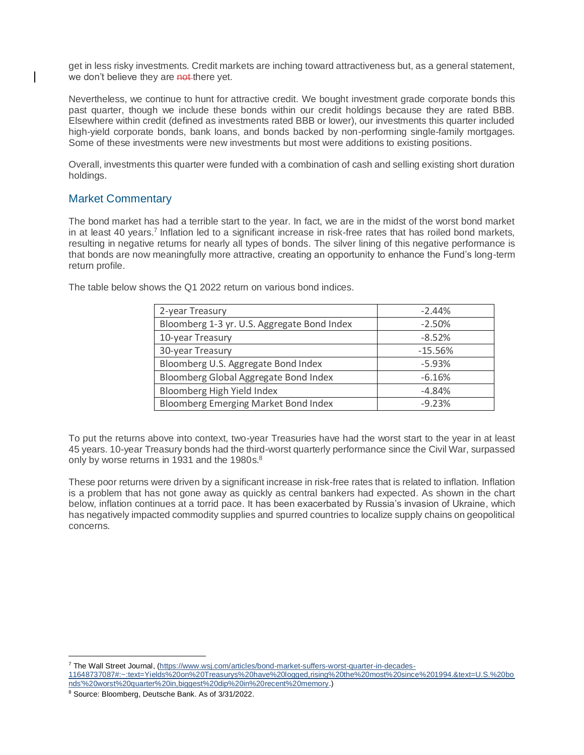get in less risky investments. Credit markets are inching toward attractiveness but, as a general statement, we don't believe they are not there yet.

Nevertheless, we continue to hunt for attractive credit. We bought investment grade corporate bonds this past quarter, though we include these bonds within our credit holdings because they are rated BBB. Elsewhere within credit (defined as investments rated BBB or lower), our investments this quarter included high-yield corporate bonds, bank loans, and bonds backed by non-performing single-family mortgages. Some of these investments were new investments but most were additions to existing positions.

Overall, investments this quarter were funded with a combination of cash and selling existing short duration holdings.

## Market Commentary

The bond market has had a terrible start to the year. In fact, we are in the midst of the worst bond market in at least 40 years.<sup>7</sup> Inflation led to a significant increase in risk-free rates that has roiled bond markets, resulting in negative returns for nearly all types of bonds. The silver lining of this negative performance is that bonds are now meaningfully more attractive, creating an opportunity to enhance the Fund's long-term return profile.

|  | The table below shows the Q1 2022 return on various bond indices. |
|--|-------------------------------------------------------------------|
|--|-------------------------------------------------------------------|

| 2-year Treasury                             | $-2.44%$  |
|---------------------------------------------|-----------|
| Bloomberg 1-3 yr. U.S. Aggregate Bond Index | $-2.50%$  |
| 10-year Treasury                            | $-8.52%$  |
| 30-year Treasury                            | $-15.56%$ |
| Bloomberg U.S. Aggregate Bond Index         | $-5.93%$  |
| Bloomberg Global Aggregate Bond Index       | $-6.16%$  |
| Bloomberg High Yield Index                  | $-4.84%$  |
| <b>Bloomberg Emerging Market Bond Index</b> | $-9.23%$  |

To put the returns above into context, two-year Treasuries have had the worst start to the year in at least 45 years. 10-year Treasury bonds had the third-worst quarterly performance since the Civil War, surpassed only by worse returns in 1931 and the 1980s.<sup>8</sup>

These poor returns were driven by a significant increase in risk-free rates that is related to inflation. Inflation is a problem that has not gone away as quickly as central bankers had expected. As shown in the chart below, inflation continues at a torrid pace. It has been exacerbated by Russia's invasion of Ukraine, which has negatively impacted commodity supplies and spurred countries to localize supply chains on geopolitical concerns.

<sup>&</sup>lt;sup>7</sup> The Wall Street Journal, [\(https://www.wsj.com/articles/bond-market-suffers-worst-quarter-in-decades-](https://www.wsj.com/articles/bond-market-suffers-worst-quarter-in-decades-11648737087)

[<sup>11648737087#:~:</sup>text=Yields%20on%20Treasurys%20have%20logged,rising%20the%20most%20since%201994.&text=U.S.%20bo](https://www.wsj.com/articles/bond-market-suffers-worst-quarter-in-decades-11648737087) [nds'%20worst%20quarter%20in,biggest%20dip%20in%20recent%20memory.](https://www.wsj.com/articles/bond-market-suffers-worst-quarter-in-decades-11648737087))

<sup>8</sup> Source: Bloomberg, Deutsche Bank. As of 3/31/2022.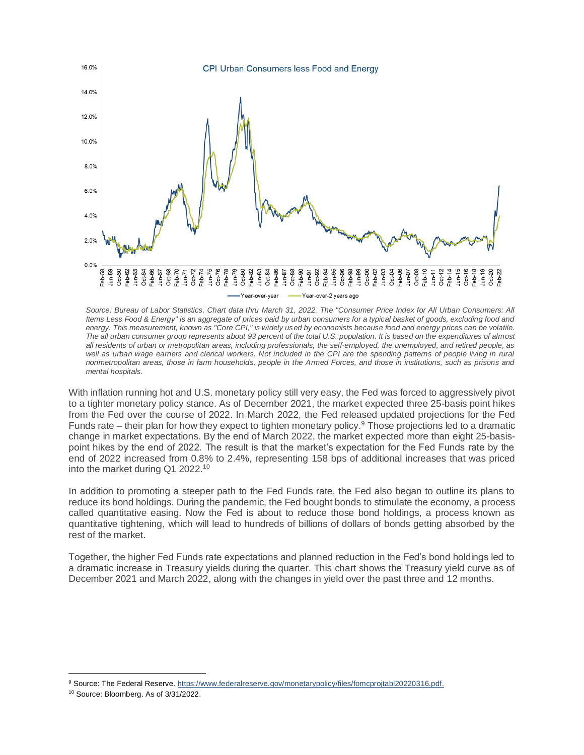

*Source: Bureau of Labor Statistics. Chart data thru March 31, 2022. The "Consumer Price Index for All Urban Consumers: All Items Less Food & Energy" is an aggregate of prices paid by urban consumers for a typical basket of goods, excluding food and energy. This measurement, known as "Core CPI," is widely used by economists because food and energy prices can be volatile. The all urban consumer group represents about 93 percent of the total U.S. population. It is based on the expenditures of almost all residents of urban or metropolitan areas, including professionals, the self-employed, the unemployed, and retired people, as*  well as urban wage earners and clerical workers. Not included in the CPI are the spending patterns of people living in rural *nonmetropolitan areas, those in farm households, people in the Armed Forces, and those in institutions, such as prisons and mental hospitals.*

With inflation running hot and U.S. monetary policy still very easy, the Fed was forced to aggressively pivot to a tighter monetary policy stance. As of December 2021, the market expected three 25-basis point hikes from the Fed over the course of 2022. In March 2022, the Fed released updated projections for the Fed Funds rate – their plan for how they expect to tighten monetary policy.<sup>9</sup> Those projections led to a dramatic change in market expectations. By the end of March 2022, the market expected more than eight 25-basispoint hikes by the end of 2022. The result is that the market's expectation for the Fed Funds rate by the end of 2022 increased from 0.8% to 2.4%, representing 158 bps of additional increases that was priced into the market during Q1 2022.<sup>10</sup>

In addition to promoting a steeper path to the Fed Funds rate, the Fed also began to outline its plans to reduce its bond holdings. During the pandemic, the Fed bought bonds to stimulate the economy, a process called quantitative easing. Now the Fed is about to reduce those bond holdings, a process known as quantitative tightening, which will lead to hundreds of billions of dollars of bonds getting absorbed by the rest of the market.

Together, the higher Fed Funds rate expectations and planned reduction in the Fed's bond holdings led to a dramatic increase in Treasury yields during the quarter. This chart shows the Treasury yield curve as of December 2021 and March 2022, along with the changes in yield over the past three and 12 months.

<sup>9</sup> Source: The Federal Reserve. https://www.federalreserve.gov/monetarypolicy/files/fomcprojtabl20220316.pdf.

<sup>10</sup> Source: Bloomberg. As of 3/31/2022.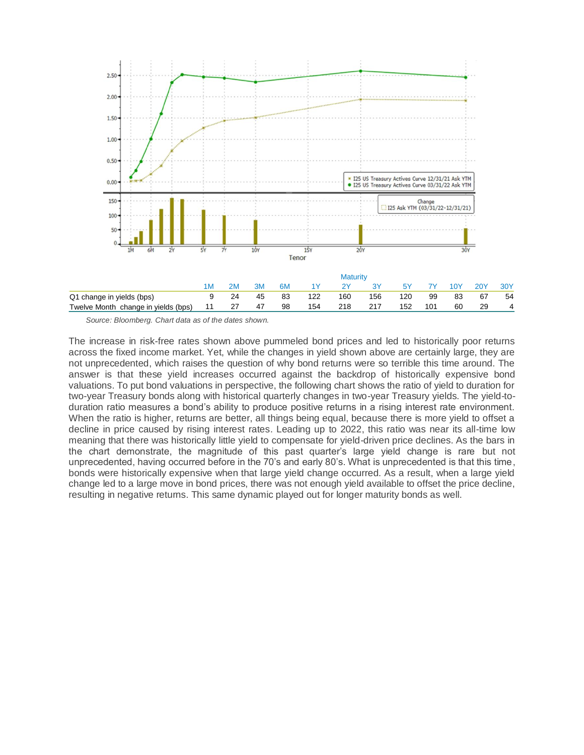

*Source: Bloomberg. Chart data as of the dates shown.*

The increase in risk-free rates shown above pummeled bond prices and led to historically poor returns across the fixed income market. Yet, while the changes in yield shown above are certainly large, they are not unprecedented, which raises the question of why bond returns were so terrible this time around. The answer is that these yield increases occurred against the backdrop of historically expensive bond valuations. To put bond valuations in perspective, the following chart shows the ratio of yield to duration for two-year Treasury bonds along with historical quarterly changes in two-year Treasury yields. The yield-toduration ratio measures a bond's ability to produce positive returns in a rising interest rate environment. When the ratio is higher, returns are better, all things being equal, because there is more yield to offset a decline in price caused by rising interest rates. Leading up to 2022, this ratio was near its all-time low meaning that there was historically little yield to compensate for yield-driven price declines. As the bars in the chart demonstrate, the magnitude of this past quarter's large yield change is rare but not unprecedented, having occurred before in the 70's and early 80's. What is unprecedented is that this time, bonds were historically expensive when that large yield change occurred. As a result, when a large yield change led to a large move in bond prices, there was not enough yield available to offset the price decline, resulting in negative returns. This same dynamic played out for longer maturity bonds as well.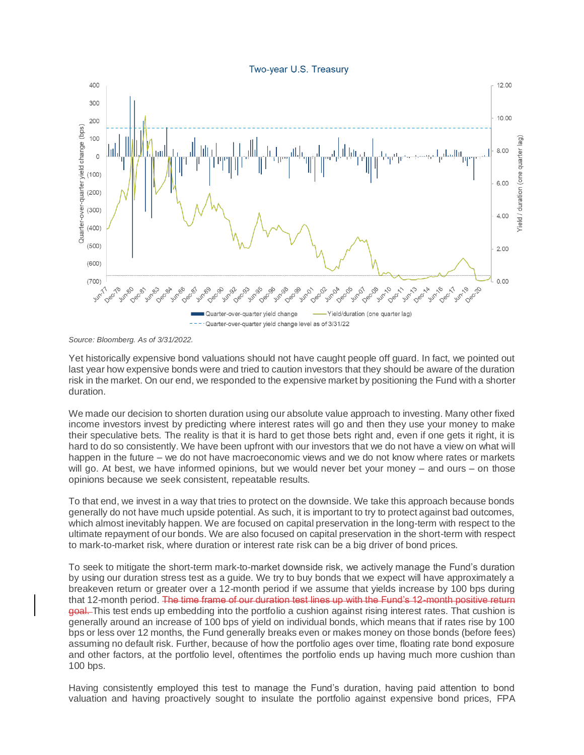Two-year U.S. Treasury



*Source: Bloomberg. As of 3/31/2022.*

Yet historically expensive bond valuations should not have caught people off guard. In fact, we pointed out last year how expensive bonds were and tried to caution investors that they should be aware of the duration risk in the market. On our end, we responded to the expensive market by positioning the Fund with a shorter duration.

We made our decision to shorten duration using our absolute value approach to investing. Many other fixed income investors invest by predicting where interest rates will go and then they use your money to make their speculative bets. The reality is that it is hard to get those bets right and, even if one gets it right, it is hard to do so consistently. We have been upfront with our investors that we do not have a view on what will happen in the future – we do not have macroeconomic views and we do not know where rates or markets will go. At best, we have informed opinions, but we would never bet your money – and ours – on those opinions because we seek consistent, repeatable results.

To that end, we invest in a way that tries to protect on the downside. We take this approach because bonds generally do not have much upside potential. As such, it is important to try to protect against bad outcomes, which almost inevitably happen. We are focused on capital preservation in the long-term with respect to the ultimate repayment of our bonds. We are also focused on capital preservation in the short-term with respect to mark-to-market risk, where duration or interest rate risk can be a big driver of bond prices.

To seek to mitigate the short-term mark-to-market downside risk, we actively manage the Fund's duration by using our duration stress test as a guide. We try to buy bonds that we expect will have approximately a breakeven return or greater over a 12-month period if we assume that yields increase by 100 bps during that 12-month period. The time frame of our duration test lines up with the Fund's 12-month positive return goal. This test ends up embedding into the portfolio a cushion against rising interest rates. That cushion is generally around an increase of 100 bps of yield on individual bonds, which means that if rates rise by 100 bps or less over 12 months, the Fund generally breaks even or makes money on those bonds (before fees) assuming no default risk. Further, because of how the portfolio ages over time, floating rate bond exposure and other factors, at the portfolio level, oftentimes the portfolio ends up having much more cushion than 100 bps.

Having consistently employed this test to manage the Fund's duration, having paid attention to bond valuation and having proactively sought to insulate the portfolio against expensive bond prices, FPA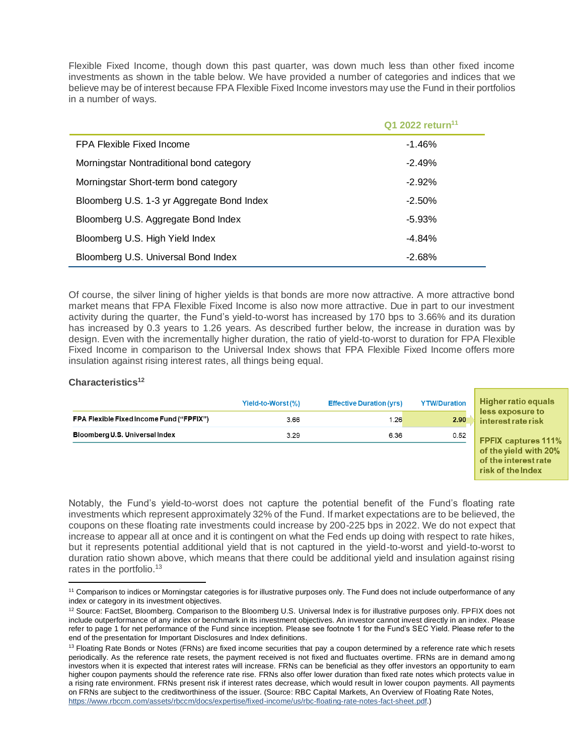Flexible Fixed Income, though down this past quarter, was down much less than other fixed income investments as shown in the table below. We have provided a number of categories and indices that we believe may be of interest because FPA Flexible Fixed Income investors may use the Fund in their portfolios in a number of ways.

|                                            | Q1 2022 return <sup>11</sup> |
|--------------------------------------------|------------------------------|
| FPA Flexible Fixed Income                  | $-1.46%$                     |
| Morningstar Nontraditional bond category   | $-2.49%$                     |
| Morningstar Short-term bond category       | $-2.92\%$                    |
| Bloomberg U.S. 1-3 yr Aggregate Bond Index | $-2.50\%$                    |
| Bloomberg U.S. Aggregate Bond Index        | $-5.93\%$                    |
| Bloomberg U.S. High Yield Index            | $-4.84%$                     |
| Bloomberg U.S. Universal Bond Index        | $-2.68%$                     |

Of course, the silver lining of higher yields is that bonds are more now attractive. A more attractive bond market means that FPA Flexible Fixed Income is also now more attractive. Due in part to our investment activity during the quarter, the Fund's yield-to-worst has increased by 170 bps to 3.66% and its duration has increased by 0.3 years to 1.26 years. As described further below, the increase in duration was by design. Even with the incrementally higher duration, the ratio of yield-to-worst to duration for FPA Flexible Fixed Income in comparison to the Universal Index shows that FPA Flexible Fixed Income offers more insulation against rising interest rates, all things being equal.

## **Characteristics<sup>12</sup>**

|                                                 | Yield-to-Worst(%) | <b>Effective Duration (yrs)</b> | <b>YTW/Duration</b> | Higher ratio equals                                                |
|-------------------------------------------------|-------------------|---------------------------------|---------------------|--------------------------------------------------------------------|
| <b>FPA Flexible Fixed Income Fund ("FPFIX")</b> | 3.66              | 1.26                            | 2.90                | less exposure to<br>interest rate risk                             |
| Bloomberg U.S. Universal Index                  | 3.29              | 6.36                            | 0.52                | <b>FPFIX captures 111%</b>                                         |
|                                                 |                   |                                 |                     | of the yield with 20%<br>of the interest rate<br>risk of the Index |

Notably, the Fund's yield-to-worst does not capture the potential benefit of the Fund's floating rate investments which represent approximately 32% of the Fund. If market expectations are to be believed, the coupons on these floating rate investments could increase by 200-225 bps in 2022. We do not expect that increase to appear all at once and it is contingent on what the Fed ends up doing with respect to rate hikes, but it represents potential additional yield that is not captured in the yield-to-worst and yield-to-worst to duration ratio shown above, which means that there could be additional yield and insulation against rising rates in the portfolio.<sup>13</sup>

<sup>11</sup> Comparison to indices or Morningstar categories is for illustrative purposes only. The Fund does not include outperformance of any index or category in its investment objectives.

<sup>&</sup>lt;sup>12</sup> Source: FactSet, Bloomberg. Comparison to the Bloomberg U.S. Universal Index is for illustrative purposes only. FPFIX does not include outperformance of any index or benchmark in its investment objectives. An investor cannot invest directly in an index. Please refer to page 1 for net performance of the Fund since inception. Please see footnote 1 for the Fund's SEC Yield. Please refer to the end of the presentation for Important Disclosures and Index definitions.

<sup>&</sup>lt;sup>13</sup> Floating Rate Bonds or Notes (FRNs) are fixed income securities that pay a coupon determined by a reference rate which resets periodically. As the reference rate resets, the payment received is not fixed and fluctuates overtime. FRNs are in demand among investors when it is expected that interest rates will increase. FRNs can be beneficial as they offer investors an opportunity to earn higher coupon payments should the reference rate rise. FRNs also offer lower duration than fixed rate notes which protects value in a rising rate environment. FRNs present risk if interest rates decrease, which would result in lower coupon payments. All payments on FRNs are subject to the creditworthiness of the issuer. (Source: RBC Capital Markets, An Overview of Floating Rate Notes, [https://www.rbccm.com/assets/rbccm/docs/expertise/fixed-income/us/rbc-floating-rate-notes-fact-sheet.pdf.\)](https://www.rbccm.com/assets/rbccm/docs/expertise/fixed-income/us/rbc-floating-rate-notes-fact-sheet.pdf)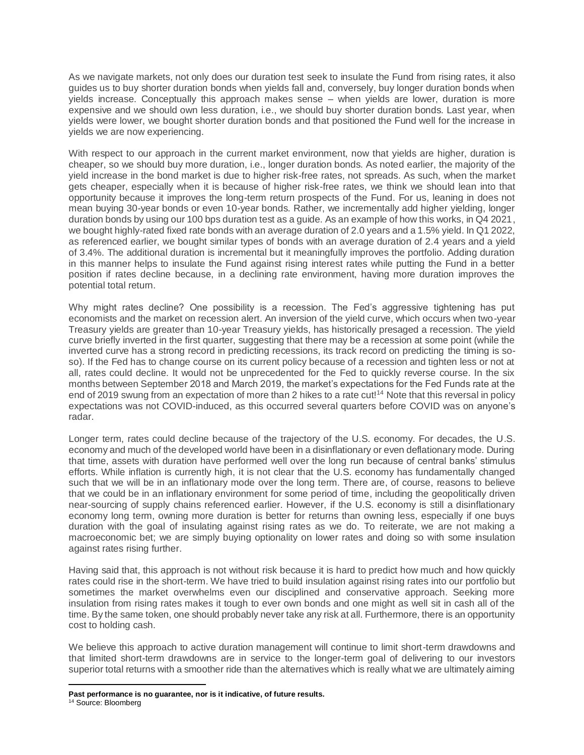As we navigate markets, not only does our duration test seek to insulate the Fund from rising rates, it also guides us to buy shorter duration bonds when yields fall and, conversely, buy longer duration bonds when yields increase. Conceptually this approach makes sense – when yields are lower, duration is more expensive and we should own less duration, i.e., we should buy shorter duration bonds. Last year, when yields were lower, we bought shorter duration bonds and that positioned the Fund well for the increase in yields we are now experiencing.

With respect to our approach in the current market environment, now that yields are higher, duration is cheaper, so we should buy more duration, i.e., longer duration bonds. As noted earlier, the majority of the yield increase in the bond market is due to higher risk-free rates, not spreads. As such, when the market gets cheaper, especially when it is because of higher risk-free rates, we think we should lean into that opportunity because it improves the long-term return prospects of the Fund. For us, leaning in does not mean buying 30-year bonds or even 10-year bonds. Rather, we incrementally add higher yielding, longer duration bonds by using our 100 bps duration test as a guide. As an example of how this works, in Q4 2021, we bought highly-rated fixed rate bonds with an average duration of 2.0 years and a 1.5% yield. In Q1 2022, as referenced earlier, we bought similar types of bonds with an average duration of 2.4 years and a yield of 3.4%. The additional duration is incremental but it meaningfully improves the portfolio. Adding duration in this manner helps to insulate the Fund against rising interest rates while putting the Fund in a better position if rates decline because, in a declining rate environment, having more duration improves the potential total return.

Why might rates decline? One possibility is a recession. The Fed's aggressive tightening has put economists and the market on recession alert. An inversion of the yield curve, which occurs when two-year Treasury yields are greater than 10-year Treasury yields, has historically presaged a recession. The yield curve briefly inverted in the first quarter, suggesting that there may be a recession at some point (while the inverted curve has a strong record in predicting recessions, its track record on predicting the timing is soso). If the Fed has to change course on its current policy because of a recession and tighten less or not at all, rates could decline. It would not be unprecedented for the Fed to quickly reverse course. In the six months between September 2018 and March 2019, the market's expectations for the Fed Funds rate at the end of 2019 swung from an expectation of more than 2 hikes to a rate cut!<sup>14</sup> Note that this reversal in policy expectations was not COVID-induced, as this occurred several quarters before COVID was on anyone's radar.

Longer term, rates could decline because of the trajectory of the U.S. economy. For decades, the U.S. economy and much of the developed world have been in a disinflationary or even deflationary mode. During that time, assets with duration have performed well over the long run because of central banks' stimulus efforts. While inflation is currently high, it is not clear that the U.S. economy has fundamentally changed such that we will be in an inflationary mode over the long term. There are, of course, reasons to believe that we could be in an inflationary environment for some period of time, including the geopolitically driven near-sourcing of supply chains referenced earlier. However, if the U.S. economy is still a disinflationary economy long term, owning more duration is better for returns than owning less, especially if one buys duration with the goal of insulating against rising rates as we do. To reiterate, we are not making a macroeconomic bet; we are simply buying optionality on lower rates and doing so with some insulation against rates rising further.

Having said that, this approach is not without risk because it is hard to predict how much and how quickly rates could rise in the short-term. We have tried to build insulation against rising rates into our portfolio but sometimes the market overwhelms even our disciplined and conservative approach. Seeking more insulation from rising rates makes it tough to ever own bonds and one might as well sit in cash all of the time. By the same token, one should probably never take any risk at all. Furthermore, there is an opportunity cost to holding cash.

We believe this approach to active duration management will continue to limit short-term drawdowns and that limited short-term drawdowns are in service to the longer-term goal of delivering to our investors superior total returns with a smoother ride than the alternatives which is really what we are ultimately aiming

**Past performance is no guarantee, nor is it indicative, of future results.**

<sup>&</sup>lt;sup>14</sup> Source: Bloomberg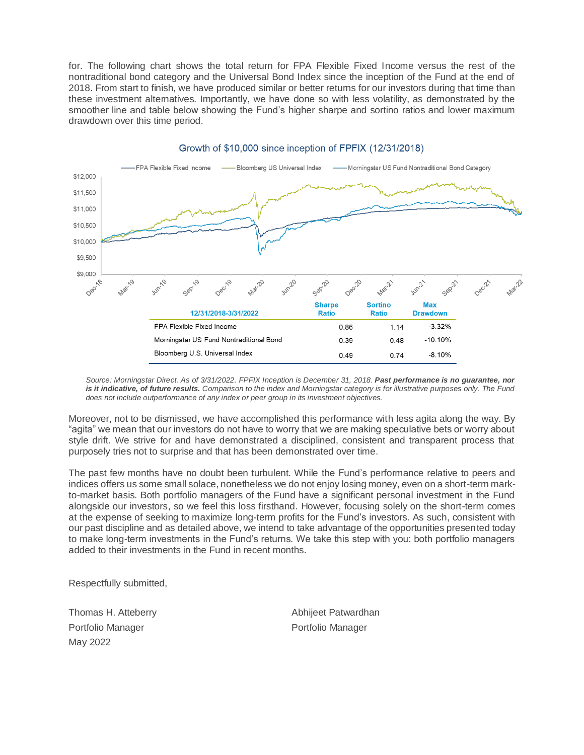for. The following chart shows the total return for FPA Flexible Fixed Income versus the rest of the nontraditional bond category and the Universal Bond Index since the inception of the Fund at the end of 2018. From start to finish, we have produced similar or better returns for our investors during that time than these investment alternatives. Importantly, we have done so with less volatility, as demonstrated by the smoother line and table below showing the Fund's higher sharpe and sortino ratios and lower maximum drawdown over this time period.



## Growth of \$10,000 since inception of FPFIX (12/31/2018)

*Source: Morningstar Direct. As of 3/31/2022. FPFIX Inception is December 31, 2018. Past performance is no guarantee, nor is it indicative, of future results. Comparison to the index and Morningstar category is for illustrative purposes only. The Fund does not include outperformance of any index or peer group in its investment objectives.*

Moreover, not to be dismissed, we have accomplished this performance with less agita along the way. By "agita" we mean that our investors do not have to worry that we are making speculative bets or worry about style drift. We strive for and have demonstrated a disciplined, consistent and transparent process that purposely tries not to surprise and that has been demonstrated over time.

The past few months have no doubt been turbulent. While the Fund's performance relative to peers and indices offers us some small solace, nonetheless we do not enjoy losing money, even on a short-term markto-market basis. Both portfolio managers of the Fund have a significant personal investment in the Fund alongside our investors, so we feel this loss firsthand. However, focusing solely on the short-term comes at the expense of seeking to maximize long-term profits for the Fund's investors. As such, consistent with our past discipline and as detailed above, we intend to take advantage of the opportunities presented today to make long-term investments in the Fund's returns. We take this step with you: both portfolio managers added to their investments in the Fund in recent months.

Respectfully submitted,

Thomas H. Atteberry Portfolio Manager May 2022

Abhijeet Patwardhan Portfolio Manager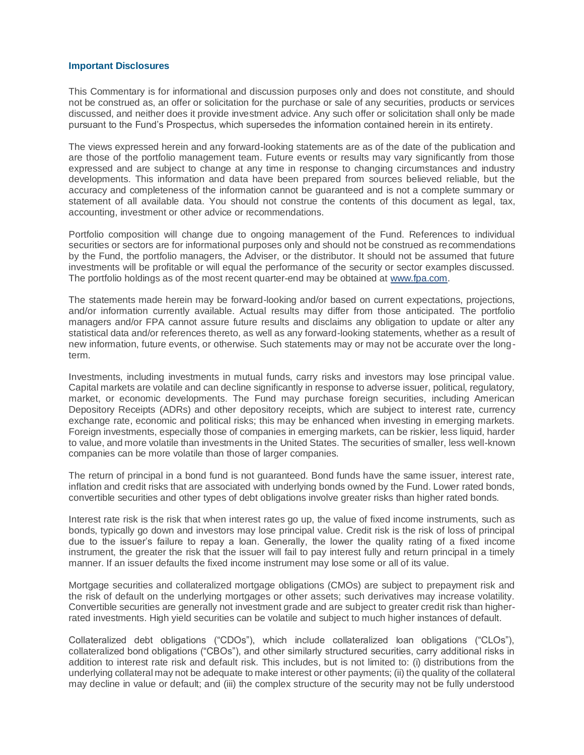## **Important Disclosures**

This Commentary is for informational and discussion purposes only and does not constitute, and should not be construed as, an offer or solicitation for the purchase or sale of any securities, products or services discussed, and neither does it provide investment advice. Any such offer or solicitation shall only be made pursuant to the Fund's Prospectus, which supersedes the information contained herein in its entirety.

The views expressed herein and any forward-looking statements are as of the date of the publication and are those of the portfolio management team. Future events or results may vary significantly from those expressed and are subject to change at any time in response to changing circumstances and industry developments. This information and data have been prepared from sources believed reliable, but the accuracy and completeness of the information cannot be guaranteed and is not a complete summary or statement of all available data. You should not construe the contents of this document as legal, tax, accounting, investment or other advice or recommendations.

Portfolio composition will change due to ongoing management of the Fund. References to individual securities or sectors are for informational purposes only and should not be construed as recommendations by the Fund, the portfolio managers, the Adviser, or the distributor. It should not be assumed that future investments will be profitable or will equal the performance of the security or sector examples discussed. The portfolio holdings as of the most recent quarter-end may be obtained at [www.fpa.com.](http://www.fpa.com/)

The statements made herein may be forward-looking and/or based on current expectations, projections, and/or information currently available. Actual results may differ from those anticipated. The portfolio managers and/or FPA cannot assure future results and disclaims any obligation to update or alter any statistical data and/or references thereto, as well as any forward-looking statements, whether as a result of new information, future events, or otherwise. Such statements may or may not be accurate over the longterm.

Investments, including investments in mutual funds, carry risks and investors may lose principal value. Capital markets are volatile and can decline significantly in response to adverse issuer, political, regulatory, market, or economic developments. The Fund may purchase foreign securities, including American Depository Receipts (ADRs) and other depository receipts, which are subject to interest rate, currency exchange rate, economic and political risks; this may be enhanced when investing in emerging markets. Foreign investments, especially those of companies in emerging markets, can be riskier, less liquid, harder to value, and more volatile than investments in the United States. The securities of smaller, less well-known companies can be more volatile than those of larger companies.

The return of principal in a bond fund is not guaranteed. Bond funds have the same issuer, interest rate, inflation and credit risks that are associated with underlying bonds owned by the Fund. Lower rated bonds, convertible securities and other types of debt obligations involve greater risks than higher rated bonds.

Interest rate risk is the risk that when interest rates go up, the value of fixed income instruments, such as bonds, typically go down and investors may lose principal value. Credit risk is the risk of loss of principal due to the issuer's failure to repay a loan. Generally, the lower the quality rating of a fixed income instrument, the greater the risk that the issuer will fail to pay interest fully and return principal in a timely manner. If an issuer defaults the fixed income instrument may lose some or all of its value.

Mortgage securities and collateralized mortgage obligations (CMOs) are subject to prepayment risk and the risk of default on the underlying mortgages or other assets; such derivatives may increase volatility. Convertible securities are generally not investment grade and are subject to greater credit risk than higherrated investments. High yield securities can be volatile and subject to much higher instances of default.

Collateralized debt obligations ("CDOs"), which include collateralized loan obligations ("CLOs"), collateralized bond obligations ("CBOs"), and other similarly structured securities, carry additional risks in addition to interest rate risk and default risk. This includes, but is not limited to: (i) distributions from the underlying collateral may not be adequate to make interest or other payments; (ii) the quality of the collateral may decline in value or default; and (iii) the complex structure of the security may not be fully understood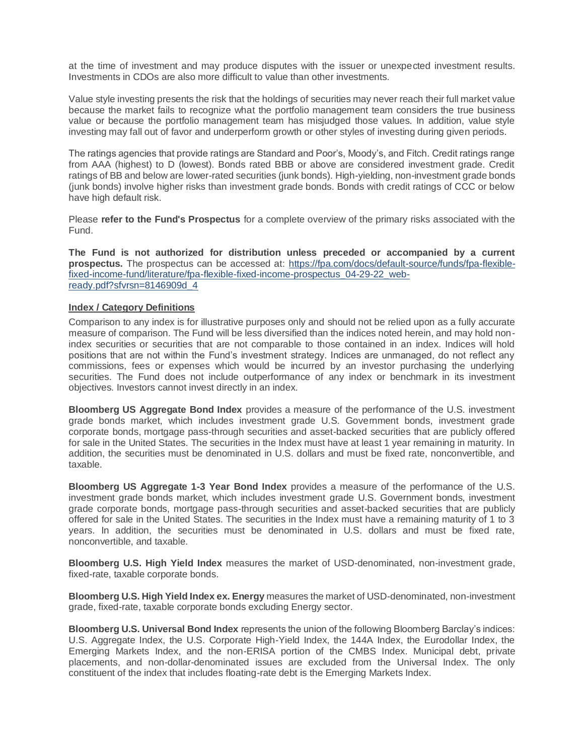at the time of investment and may produce disputes with the issuer or unexpected investment results. Investments in CDOs are also more difficult to value than other investments.

Value style investing presents the risk that the holdings of securities may never reach their full market value because the market fails to recognize what the portfolio management team considers the true business value or because the portfolio management team has misjudged those values. In addition, value style investing may fall out of favor and underperform growth or other styles of investing during given periods.

The ratings agencies that provide ratings are Standard and Poor's, Moody's, and Fitch. Credit ratings range from AAA (highest) to D (lowest). Bonds rated BBB or above are considered investment grade. Credit ratings of BB and below are lower-rated securities (junk bonds). High-yielding, non-investment grade bonds (junk bonds) involve higher risks than investment grade bonds. Bonds with credit ratings of CCC or below have high default risk.

Please **refer to the Fund's Prospectus** for a complete overview of the primary risks associated with the Fund.

**The Fund is not authorized for distribution unless preceded or accompanied by a current prospectus.** The prospectus can be accessed at: [https://fpa.com/docs/default-source/funds/fpa-flexible](https://fpa.com/docs/default-source/funds/fpa-flexible-fixed-income-fund/literature/fpa-flexible-fixed-income-prospectus_04-29-22_web-ready.pdf?sfvrsn=8146909d_4)[fixed-income-fund/literature/fpa-flexible-fixed-income-prospectus\\_04-29-22\\_web](https://fpa.com/docs/default-source/funds/fpa-flexible-fixed-income-fund/literature/fpa-flexible-fixed-income-prospectus_04-29-22_web-ready.pdf?sfvrsn=8146909d_4)[ready.pdf?sfvrsn=8146909d\\_4](https://fpa.com/docs/default-source/funds/fpa-flexible-fixed-income-fund/literature/fpa-flexible-fixed-income-prospectus_04-29-22_web-ready.pdf?sfvrsn=8146909d_4)

## **Index / Category Definitions**

Comparison to any index is for illustrative purposes only and should not be relied upon as a fully accurate measure of comparison. The Fund will be less diversified than the indices noted herein, and may hold nonindex securities or securities that are not comparable to those contained in an index. Indices will hold positions that are not within the Fund's investment strategy. Indices are unmanaged, do not reflect any commissions, fees or expenses which would be incurred by an investor purchasing the underlying securities. The Fund does not include outperformance of any index or benchmark in its investment objectives. Investors cannot invest directly in an index.

**Bloomberg US Aggregate Bond Index** provides a measure of the performance of the U.S. investment grade bonds market, which includes investment grade U.S. Government bonds, investment grade corporate bonds, mortgage pass-through securities and asset-backed securities that are publicly offered for sale in the United States. The securities in the Index must have at least 1 year remaining in maturity. In addition, the securities must be denominated in U.S. dollars and must be fixed rate, nonconvertible, and taxable.

**Bloomberg US Aggregate 1-3 Year Bond Index** provides a measure of the performance of the U.S. investment grade bonds market, which includes investment grade U.S. Government bonds, investment grade corporate bonds, mortgage pass-through securities and asset-backed securities that are publicly offered for sale in the United States. The securities in the Index must have a remaining maturity of 1 to 3 years. In addition, the securities must be denominated in U.S. dollars and must be fixed rate, nonconvertible, and taxable.

**Bloomberg U.S. High Yield Index** measures the market of USD-denominated, non-investment grade, fixed-rate, taxable corporate bonds.

**Bloomberg U.S. High Yield Index ex. Energy** measures the market of USD-denominated, non-investment grade, fixed-rate, taxable corporate bonds excluding Energy sector.

**Bloomberg U.S. Universal Bond Index** represents the union of the following Bloomberg Barclay's indices: U.S. Aggregate Index, the U.S. Corporate High-Yield Index, the 144A Index, the Eurodollar Index, the Emerging Markets Index, and the non-ERISA portion of the CMBS Index. Municipal debt, private placements, and non-dollar-denominated issues are excluded from the Universal Index. The only constituent of the index that includes floating-rate debt is the Emerging Markets Index.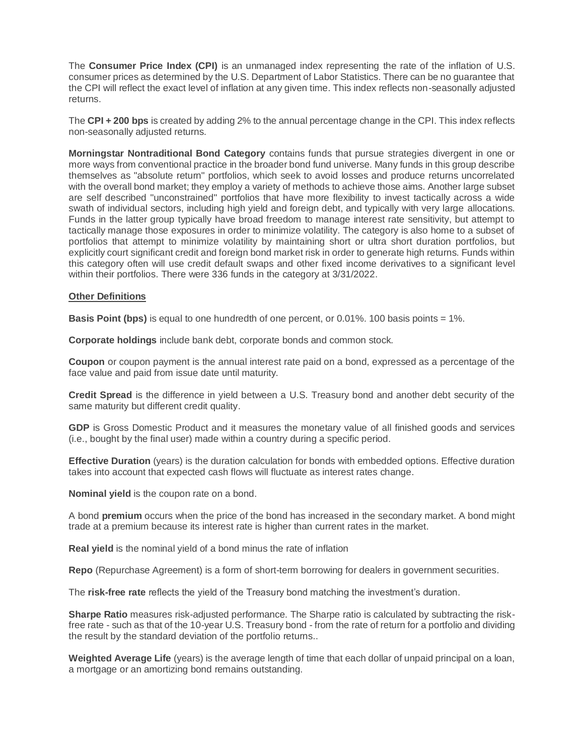The **Consumer Price Index (CPI)** is an unmanaged index representing the rate of the inflation of U.S. consumer prices as determined by the U.S. Department of Labor Statistics. There can be no guarantee that the CPI will reflect the exact level of inflation at any given time. This index reflects non-seasonally adjusted returns.

The **CPI + 200 bps** is created by adding 2% to the annual percentage change in the CPI. This index reflects non-seasonally adjusted returns.

**Morningstar Nontraditional Bond Category** contains funds that pursue strategies divergent in one or more ways from conventional practice in the broader bond fund universe. Many funds in this group describe themselves as "absolute return" portfolios, which seek to avoid losses and produce returns uncorrelated with the overall bond market; they employ a variety of methods to achieve those aims. Another large subset are self described "unconstrained" portfolios that have more flexibility to invest tactically across a wide swath of individual sectors, including high yield and foreign debt, and typically with very large allocations. Funds in the latter group typically have broad freedom to manage interest rate sensitivity, but attempt to tactically manage those exposures in order to minimize volatility. The category is also home to a subset of portfolios that attempt to minimize volatility by maintaining short or ultra short duration portfolios, but explicitly court significant credit and foreign bond market risk in order to generate high returns. Funds within this category often will use credit default swaps and other fixed income derivatives to a significant level within their portfolios. There were 336 funds in the category at 3/31/2022.

## **Other Definitions**

**Basis Point (bps)** is equal to one hundredth of one percent, or 0.01%. 100 basis points = 1%.

**Corporate holdings** include bank debt, corporate bonds and common stock.

**Coupon** or coupon payment is the annual interest rate paid on a bond, expressed as a percentage of the face value and paid from issue date until maturity.

**Credit Spread** is the difference in yield between a U.S. Treasury bond and another debt security of the same maturity but different credit quality.

**GDP** is Gross Domestic Product and it measures the monetary value of all finished goods and services (i.e., bought by the final user) made within a country during a specific period.

**Effective Duration** (years) is the duration calculation for bonds with embedded options. Effective duration takes into account that expected cash flows will fluctuate as interest rates change.

**Nominal yield** is the coupon rate on a bond.

A bond **premium** occurs when the price of the bond has increased in the secondary market. A bond might trade at a premium because its interest rate is higher than current rates in the market.

**Real yield** is the nominal yield of a bond minus the rate of inflation

**Repo** (Repurchase Agreement) is a form of short-term borrowing for dealers in government securities.

The **risk-free rate** reflects the yield of the Treasury bond matching the investment's duration.

**Sharpe Ratio** measures risk-adjusted performance. The Sharpe ratio is calculated by subtracting the riskfree rate - such as that of the 10-year U.S. Treasury bond - from the rate of return for a portfolio and dividing the result by the standard deviation of the portfolio returns..

**Weighted Average Life** (years) is the average length of time that each dollar of unpaid principal on a loan, a mortgage or an amortizing bond remains outstanding.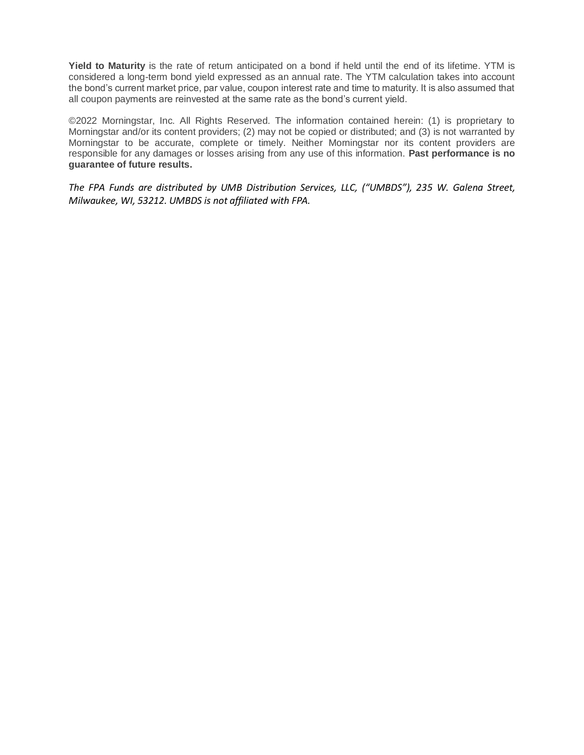**Yield to Maturity** is the rate of return anticipated on a bond if held until the end of its lifetime. YTM is considered a long-term bond yield expressed as an annual rate. The YTM calculation takes into account the bond's current market price, par value, coupon interest rate and time to maturity. It is also assumed that all coupon payments are reinvested at the same rate as the bond's current yield.

©2022 Morningstar, Inc. All Rights Reserved. The information contained herein: (1) is proprietary to Morningstar and/or its content providers; (2) may not be copied or distributed; and (3) is not warranted by Morningstar to be accurate, complete or timely. Neither Morningstar nor its content providers are responsible for any damages or losses arising from any use of this information. **Past performance is no guarantee of future results.**

*The FPA Funds are distributed by UMB Distribution Services, LLC, ("UMBDS"), 235 W. Galena Street, Milwaukee, WI, 53212. UMBDS is not affiliated with FPA.*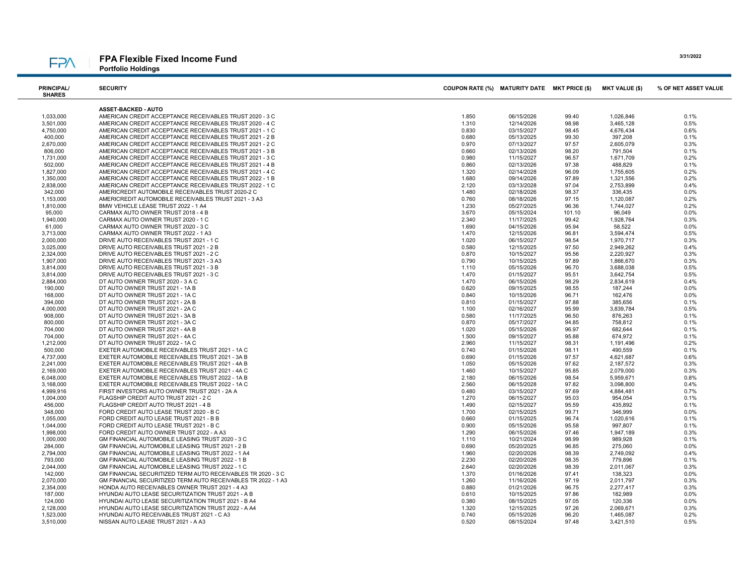#### FPA Flexible Fixed Income Fund **FPA**

Portfolio Holdings

| <b>PRINCIPAL/</b><br><b>SHARES</b> | <b>SECURITY</b>                                                                                                    | COUPON RATE (%) MATURITY DATE MKT PRICE (\$) |                          |                | <b>MKT VALUE (\$)</b>  | % OF NET ASSET VALUE |
|------------------------------------|--------------------------------------------------------------------------------------------------------------------|----------------------------------------------|--------------------------|----------------|------------------------|----------------------|
|                                    |                                                                                                                    |                                              |                          |                |                        |                      |
|                                    | <b>ASSET-BACKED - AUTO</b>                                                                                         |                                              |                          |                |                        |                      |
| 1,033,000                          | AMERICAN CREDIT ACCEPTANCE RECEIVABLES TRUST 2020 - 3 C                                                            | 1.850                                        | 06/15/2026               | 99.40          | 1,026,846              | 0.1%                 |
| 3,501,000                          | AMERICAN CREDIT ACCEPTANCE RECEIVABLES TRUST 2020 - 4 C                                                            | 1.310                                        | 12/14/2026               | 98.98          | 3,465,128              | 0.5%                 |
| 4,750,000                          | AMERICAN CREDIT ACCEPTANCE RECEIVABLES TRUST 2021 - 1 C                                                            | 0.830                                        | 03/15/2027               | 98.45          | 4,676,434              | 0.6%                 |
| 400,000                            | AMERICAN CREDIT ACCEPTANCE RECEIVABLES TRUST 2021 - 2 B                                                            | 0.680                                        | 05/13/2025               | 99.30          | 397,208                | 0.1%                 |
| 2,670,000                          | AMERICAN CREDIT ACCEPTANCE RECEIVABLES TRUST 2021 - 2 C                                                            | 0.970                                        | 07/13/2027               | 97.57          | 2,605,079              | 0.3%                 |
| 806,000                            | AMERICAN CREDIT ACCEPTANCE RECEIVABLES TRUST 2021 - 3 B                                                            | 0.660                                        | 02/13/2026               | 98.20          | 791,504                | 0.1%                 |
| 1,731,000                          | AMERICAN CREDIT ACCEPTANCE RECEIVABLES TRUST 2021 - 3 C                                                            | 0.980                                        | 11/15/2027               | 96.57          | 1,671,709              | 0.2%                 |
| 502,000                            | AMERICAN CREDIT ACCEPTANCE RECEIVABLES TRUST 2021 - 4 B                                                            | 0.860                                        | 02/13/2026               | 97.38          | 488,829                | 0.1%                 |
| 1,827,000                          | AMERICAN CREDIT ACCEPTANCE RECEIVABLES TRUST 2021 - 4 C                                                            | 1.320                                        | 02/14/2028               | 96.09          | 1,755,605              | 0.2%                 |
| 1,350,000<br>2,838,000             | AMERICAN CREDIT ACCEPTANCE RECEIVABLES TRUST 2022 - 1 B<br>AMERICAN CREDIT ACCEPTANCE RECEIVABLES TRUST 2022 - 1 C | 1.680<br>2.120                               | 09/14/2026<br>03/13/2028 | 97.89<br>97.04 | 1,321,556<br>2,753,899 | 0.2%<br>0.4%         |
| 342,000                            | AMERICREDIT AUTOMOBILE RECEIVABLES TRUST 2020-2 C                                                                  | 1.480                                        | 02/18/2026               | 98.37          | 336,435                | 0.0%                 |
| 1,153,000                          | AMERICREDIT AUTOMOBILE RECEIVABLES TRUST 2021 - 3 A3                                                               | 0.760                                        | 08/18/2026               | 97.15          | 1,120,087              | 0.2%                 |
| 1,810,000                          | BMW VEHICLE LEASE TRUST 2022 - 1 A4                                                                                | 1.230                                        | 05/27/2025               | 96.36          | 1,744,027              | 0.2%                 |
| 95,000                             | CARMAX AUTO OWNER TRUST 2018 - 4 B                                                                                 | 3.670                                        | 05/15/2024               | 101.10         | 96,049                 | 0.0%                 |
| 1,940,000                          | CARMAX AUTO OWNER TRUST 2020 - 1 C                                                                                 | 2.340                                        | 11/17/2025               | 99.42          | 1,928,764              | 0.3%                 |
| 61,000                             | CARMAX AUTO OWNER TRUST 2020 - 3 C                                                                                 | 1.690                                        | 04/15/2026               | 95.94          | 58,522                 | 0.0%                 |
| 3,713,000                          | CARMAX AUTO OWNER TRUST 2022 - 1 A3                                                                                | 1.470                                        | 12/15/2026               | 96.81          | 3,594,474              | 0.5%                 |
| 2,000,000                          | DRIVE AUTO RECEIVABLES TRUST 2021 - 1 C                                                                            | 1.020                                        | 06/15/2027               | 98.54          | 1,970,717              | 0.3%                 |
| 3,025,000                          | DRIVE AUTO RECEIVABLES TRUST 2021 - 2 B                                                                            | 0.580                                        | 12/15/2025               | 97.50          | 2,949,262              | 0.4%                 |
| 2,324,000                          | DRIVE AUTO RECEIVABLES TRUST 2021 - 2 C                                                                            | 0.870                                        | 10/15/2027               | 95.56          | 2,220,927              | 0.3%                 |
| 1,907,000                          | DRIVE AUTO RECEIVABLES TRUST 2021 - 3 A3                                                                           | 0.790                                        | 10/15/2025               | 97.89          | 1,866,670              | 0.3%                 |
| 3,814,000                          | DRIVE AUTO RECEIVABLES TRUST 2021 - 3 B                                                                            | 1.110                                        | 05/15/2026               | 96.70          | 3,688,038              | 0.5%                 |
| 3,814,000                          | DRIVE AUTO RECEIVABLES TRUST 2021 - 3 C                                                                            | 1.470                                        | 01/15/2027               | 95.51          | 3,642,754              | 0.5%                 |
| 2,884,000                          | DT AUTO OWNER TRUST 2020 - 3 A C                                                                                   | 1.470                                        | 06/15/2026               | 98.29          | 2,834,619              | 0.4%                 |
| 190,000                            | DT AUTO OWNER TRUST 2021 - 1A B                                                                                    | 0.620                                        | 09/15/2025               | 98.55          | 187,244                | 0.0%                 |
| 168,000                            | DT AUTO OWNER TRUST 2021 - 1A C                                                                                    | 0.840                                        | 10/15/2026               | 96.71          | 162,476                | 0.0%                 |
| 394.000                            | DT AUTO OWNER TRUST 2021 - 2A B                                                                                    | 0.810                                        | 01/15/2027               | 97.88          | 385,656                | 0.1%                 |
| 4,000,000                          | DT AUTO OWNER TRUST 2021 - 2A C                                                                                    | 1.100                                        | 02/16/2027               | 95.99          | 3,839,784              | 0.5%                 |
| 908,000                            | DT AUTO OWNER TRUST 2021 - 3A B                                                                                    | 0.580                                        | 11/17/2025               | 96.50          | 876,263                | 0.1%                 |
| 800,000                            | DT AUTO OWNER TRUST 2021 - 3A C                                                                                    | 0.870                                        | 05/17/2027               | 94.85          | 758,812                | 0.1%                 |
| 704,000                            | DT AUTO OWNER TRUST 2021 - 4A B                                                                                    | 1.020                                        | 05/15/2026               | 96.97          | 682,644                | 0.1%                 |
| 704,000                            | DT AUTO OWNER TRUST 2021 - 4A C                                                                                    | 1.500                                        | 09/15/2027               | 95.88          | 674,972                | 0.1%                 |
| 1,212,000                          | DT AUTO OWNER TRUST 2022 - 1A C                                                                                    | 2.960                                        | 11/15/2027               | 98.31          | 1,191,496              | 0.2%                 |
| 500,000                            | EXETER AUTOMOBILE RECEIVABLES TRUST 2021 - 1A C                                                                    | 0.740                                        | 01/15/2026               | 98.11          | 490,559                | 0.1%                 |
| 4,737,000                          | EXETER AUTOMOBILE RECEIVABLES TRUST 2021 - 3A B                                                                    | 0.690                                        | 01/15/2026               | 97.57          | 4,621,687              | 0.6%                 |
| 2,241,000                          | EXETER AUTOMOBILE RECEIVABLES TRUST 2021 - 4A B                                                                    | 1.050                                        | 05/15/2026               | 97.62          | 2,187,572              | 0.3%                 |
| 2,169,000                          | EXETER AUTOMOBILE RECEIVABLES TRUST 2021 - 4A C                                                                    | 1.460                                        | 10/15/2027               | 95.85          | 2,079,000              | 0.3%                 |
| 6,048,000                          | EXETER AUTOMOBILE RECEIVABLES TRUST 2022 - 1A B                                                                    | 2.180                                        | 06/15/2026               | 98.54          | 5,959,671              | 0.8%                 |
| 3,168,000                          | EXETER AUTOMOBILE RECEIVABLES TRUST 2022 - 1A C                                                                    | 2.560                                        | 06/15/2028               | 97.82          | 3,098,800              | 0.4%                 |
| 4,999,916                          | FIRST INVESTORS AUTO OWNER TRUST 2021 - 2A A                                                                       | 0.480                                        | 03/15/2027               | 97.69          | 4,884,481              | 0.7%                 |
| 1,004,000                          | FLAGSHIP CREDIT AUTO TRUST 2021 - 2 C                                                                              | 1.270                                        | 06/15/2027               | 95.03          | 954,054                | 0.1%                 |
| 456,000                            | FLAGSHIP CREDIT AUTO TRUST 2021 - 4 B                                                                              | 1.490                                        | 02/15/2027               | 95.59          | 435,892                | 0.1%                 |
| 348,000                            | FORD CREDIT AUTO LEASE TRUST 2020 - B C                                                                            | 1.700                                        | 02/15/2025               | 99.71          | 346,999                | 0.0%                 |
| 1,055,000                          | FORD CREDIT AUTO LEASE TRUST 2021 - B B                                                                            | 0.660                                        | 01/15/2025               | 96.74          | 1,020,616              | 0.1%                 |
| 1,044,000                          | FORD CREDIT AUTO LEASE TRUST 2021 - B C                                                                            | 0.900                                        | 05/15/2026               | 95.58          | 997,807                | 0.1%                 |
| 1,998,000                          | FORD CREDIT AUTO OWNER TRUST 2022 - A A3                                                                           | 1.290                                        | 06/15/2026               | 97.46          | 1,947,189              | 0.3%                 |
| 1,000,000                          | GM FINANCIAL AUTOMOBILE LEASING TRUST 2020 - 3 C                                                                   | 1.110                                        | 10/21/2024               | 98.99          | 989,928                | 0.1%                 |
| 284,000                            | GM FINANCIAL AUTOMOBILE LEASING TRUST 2021 - 2 B                                                                   | 0.690                                        | 05/20/2025               | 96.85          | 275,060                | 0.0%                 |
| 2,794,000                          | GM FINANCIAL AUTOMOBILE LEASING TRUST 2022 - 1 A4                                                                  | 1.960                                        | 02/20/2026               | 98.39          | 2,749,092              | 0.4%                 |
| 793,000                            | GM FINANCIAL AUTOMOBILE LEASING TRUST 2022 - 1 B                                                                   | 2.230                                        | 02/20/2026               | 98.35          | 779,896                | 0.1%                 |
| 2,044,000                          | GM FINANCIAL AUTOMOBILE LEASING TRUST 2022 - 1 C                                                                   | 2.640                                        | 02/20/2026               | 98.39          | 2,011,067              | 0.3%                 |
| 142,000                            | GM FINANCIAL SECURITIZED TERM AUTO RECEIVABLES TR 2020 - 3 C                                                       | 1.370                                        | 01/16/2026               | 97.41          | 138,323                | 0.0%                 |
| 2,070,000                          | GM FINANCIAL SECURITIZED TERM AUTO RECEIVABLES TR 2022 - 1 A3                                                      | 1.260                                        | 11/16/2026               | 97.19          | 2,011,797              | 0.3%                 |
| 2,354,000                          | HONDA AUTO RECEIVABLES OWNER TRUST 2021 - 4 A3                                                                     | 0.880                                        | 01/21/2026               | 96.75          | 2,277,417              | 0.3%                 |
| 187,000                            | HYUNDAI AUTO LEASE SECURITIZATION TRUST 2021 - A B                                                                 | 0.610                                        | 10/15/2025               | 97.86          | 182,989                | 0.0%                 |
| 124,000                            | HYUNDAI AUTO LEASE SECURITIZATION TRUST 2021 - B A4                                                                | 0.380                                        | 08/15/2025               | 97.05          | 120,336                | 0.0%                 |
| 2,128,000                          | HYUNDAI AUTO LEASE SECURITIZATION TRUST 2022 - A A4                                                                | 1.320                                        | 12/15/2025               | 97.26          | 2,069,671              | 0.3%                 |
| 1,523,000                          | HYUNDAI AUTO RECEIVABLES TRUST 2021 - C A3                                                                         | 0.740                                        | 05/15/2026               | 96.20          | 1,465,087              | 0.2%<br>0.5%         |
| 3,510,000                          | NISSAN AUTO LEASE TRUST 2021 - A A3                                                                                | 0.520                                        | 08/15/2024               | 97.48          | 3,421,510              |                      |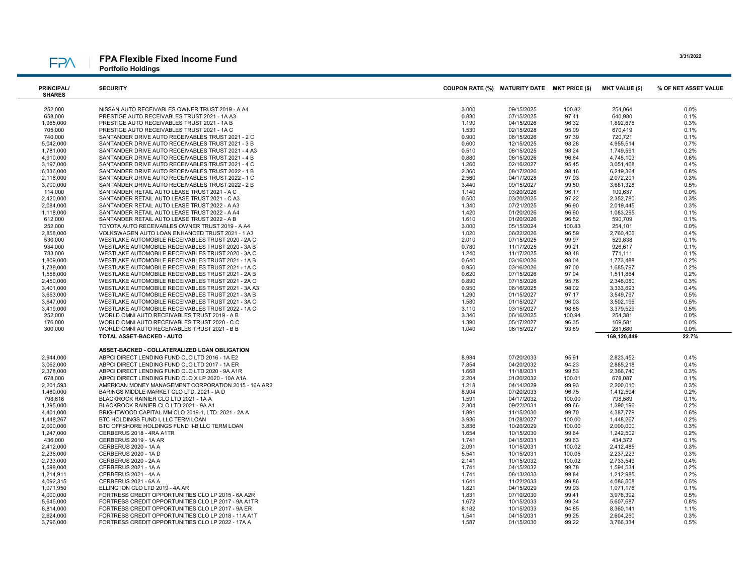# **FPA**

FPA Flexible Fixed Income Fund Portfolio Holdings

| <b>PRINCIPAL/</b><br><b>SHARES</b> | <b>SECURITY</b>                                                                                          | COUPON RATE (%) MATURITY DATE MKT PRICE (\$) |                          |                | <b>MKT VALUE (\$)</b>  | % OF NET ASSET VALUE |
|------------------------------------|----------------------------------------------------------------------------------------------------------|----------------------------------------------|--------------------------|----------------|------------------------|----------------------|
| 252,000                            | NISSAN AUTO RECEIVABLES OWNER TRUST 2019 - A A4                                                          | 3.000                                        | 09/15/2025               | 100.82         | 254,064                | 0.0%                 |
| 658,000                            | PRESTIGE AUTO RECEIVABLES TRUST 2021 - 1A A3                                                             | 0.830                                        | 07/15/2025               | 97.41          | 640,980                | 0.1%                 |
| 1,965,000                          | PRESTIGE AUTO RECEIVABLES TRUST 2021 - 1A B                                                              | 1.190                                        | 04/15/2026               | 96.32          | 1,892,678              | 0.3%                 |
| 705,000                            | PRESTIGE AUTO RECEIVABLES TRUST 2021 - 1A C                                                              | 1.530                                        | 02/15/2028               | 95.09          | 670,419                | 0.1%                 |
| 740,000                            | SANTANDER DRIVE AUTO RECEIVABLES TRUST 2021 - 2 C                                                        | 0.900                                        | 06/15/2026               | 97.39          | 720,721                | 0.1%                 |
| 5,042,000                          | SANTANDER DRIVE AUTO RECEIVABLES TRUST 2021 - 3 B                                                        | 0.600                                        | 12/15/2025               | 98.28          | 4,955,514              | 0.7%                 |
| 1,781,000                          | SANTANDER DRIVE AUTO RECEIVABLES TRUST 2021 - 4 A3                                                       | 0.510                                        | 08/15/2025               | 98.24          | 1,749,591              | 0.2%                 |
| 4,910,000                          | SANTANDER DRIVE AUTO RECEIVABLES TRUST 2021 - 4 B                                                        | 0.880                                        | 06/15/2026               | 96.64          | 4,745,103              | 0.6%                 |
| 3,197,000                          | SANTANDER DRIVE AUTO RECEIVABLES TRUST 2021 - 4 C                                                        | 1.260                                        | 02/16/2027               | 95.45          | 3,051,468              | 0.4%                 |
| 6,336,000                          | SANTANDER DRIVE AUTO RECEIVABLES TRUST 2022 - 1 B                                                        | 2.360                                        | 08/17/2026               | 98.16          | 6,219,364              | 0.8%                 |
| 2,116,000                          | SANTANDER DRIVE AUTO RECEIVABLES TRUST 2022 - 1 C                                                        | 2.560                                        | 04/17/2028               | 97.93          | 2,072,201              | 0.3%                 |
| 3,700,000                          | SANTANDER DRIVE AUTO RECEIVABLES TRUST 2022 - 2 B                                                        | 3.440                                        | 09/15/2027               | 99.50          | 3,681,328              | 0.5%                 |
| 114,000                            | SANTANDER RETAIL AUTO LEASE TRUST 2021 - A C                                                             | 1.140                                        | 03/20/2026               | 96.17          | 109,637                | 0.0%                 |
| 2,420,000                          | SANTANDER RETAIL AUTO LEASE TRUST 2021 - C A3                                                            | 0.500                                        | 03/20/2025               | 97.22          | 2,352,780              | 0.3%                 |
| 2,084,000                          | SANTANDER RETAIL AUTO LEASE TRUST 2022 - A A3                                                            | 1.340                                        | 07/21/2025               | 96.90          | 2,019,445              | 0.3%                 |
| 1,118,000                          | SANTANDER RETAIL AUTO LEASE TRUST 2022 - A A4                                                            | 1.420                                        | 01/20/2026               | 96.90          | 1,083,295              | 0.1%                 |
| 612,000                            | SANTANDER RETAIL AUTO LEASE TRUST 2022 - A B                                                             | 1.610                                        | 01/20/2026               | 96.52          | 590,709                | 0.1%                 |
| 252,000                            | TOYOTA AUTO RECEIVABLES OWNER TRUST 2019 - A A4                                                          | 3.000                                        | 05/15/2024               | 100.83         | 254,101                | 0.0%                 |
| 2,858,000<br>530,000               | VOLKSWAGEN AUTO LOAN ENHANCED TRUST 2021 - 1 A3<br>WESTLAKE AUTOMOBILE RECEIVABLES TRUST 2020 - 2A C     | 1.020<br>2.010                               | 06/22/2026<br>07/15/2025 | 96.59<br>99.97 | 2,760,406<br>529,838   | 0.4%<br>0.1%         |
| 934,000                            | WESTLAKE AUTOMOBILE RECEIVABLES TRUST 2020 - 3A B                                                        | 0.780                                        | 11/17/2025               | 99.21          | 926,617                | 0.1%                 |
| 783,000                            | WESTLAKE AUTOMOBILE RECEIVABLES TRUST 2020 - 3A C                                                        | 1.240                                        | 11/17/2025               | 98.48          | 771,111                | 0.1%                 |
| 1,809,000                          | WESTLAKE AUTOMOBILE RECEIVABLES TRUST 2021 - 1A B                                                        | 0.640                                        | 03/16/2026               | 98.04          | 1,773,488              | 0.2%                 |
| 1,738,000                          | WESTLAKE AUTOMOBILE RECEIVABLES TRUST 2021 - 1A C                                                        | 0.950                                        | 03/16/2026               | 97.00          | 1,685,797              | 0.2%                 |
| 1,558,000                          | WESTLAKE AUTOMOBILE RECEIVABLES TRUST 2021 - 2A B                                                        | 0.620                                        | 07/15/2026               | 97.04          | 1,511,864              | 0.2%                 |
| 2,450,000                          | WESTLAKE AUTOMOBILE RECEIVABLES TRUST 2021 - 2A C                                                        | 0.890                                        | 07/15/2026               | 95.76          | 2,346,080              | 0.3%                 |
| 3,401,000                          | WESTLAKE AUTOMOBILE RECEIVABLES TRUST 2021 - 3A A3                                                       | 0.950                                        | 06/16/2025               | 98.02          | 3,333,693              | 0.4%                 |
| 3,653,000                          | WESTLAKE AUTOMOBILE RECEIVABLES TRUST 2021 - 3A B                                                        | 1.290                                        | 01/15/2027               | 97.17          | 3,549,797              | 0.5%                 |
| 3,647,000                          | WESTLAKE AUTOMOBILE RECEIVABLES TRUST 2021 - 3A C                                                        | 1.580                                        | 01/15/2027               | 96.03          | 3,502,196              | 0.5%                 |
| 3,419,000                          | WESTLAKE AUTOMOBILE RECEIVABLES TRUST 2022 - 1A C                                                        | 3.110                                        | 03/15/2027               | 98.85          | 3,379,529              | 0.5%                 |
| 252,000                            | WORLD OMNI AUTO RECEIVABLES TRUST 2019 - A B                                                             | 3.340                                        | 06/16/2025               | 100.94         | 254,381                | 0.0%                 |
| 176,000                            | WORLD OMNI AUTO RECEIVABLES TRUST 2020 - C C                                                             | 1.390                                        | 05/17/2027               | 96.35          | 169,581                | 0.0%                 |
| 300,000                            | WORLD OMNI AUTO RECEIVABLES TRUST 2021 - B B                                                             | 1.040                                        | 06/15/2027               | 93.89          | 281.680                | 0.0%                 |
|                                    | TOTAL ASSET-BACKED - AUTO                                                                                |                                              |                          |                | 169,120,449            | 22.7%                |
|                                    | ASSET-BACKED - COLLATERALIZED LOAN OBLIGATION                                                            |                                              |                          |                |                        |                      |
| 2,944,000                          | ABPCI DIRECT LENDING FUND CLO LTD 2016 - 1A E2                                                           | 8.984                                        | 07/20/2033               | 95.91          | 2,823,452              | 0.4%                 |
| 3,062,000                          | ABPCI DIRECT LENDING FUND CLO LTD 2017 - 1A ER                                                           | 7.854                                        | 04/20/2032               | 94.23          | 2,885,218              | 0.4%                 |
| 2,378,000                          | ABPCI DIRECT LENDING FUND CLO LTD 2020 - 9A A1R                                                          | 1.668                                        | 11/18/2031               | 99.53          | 2,366,740              | 0.3%                 |
| 678,000                            | ABPCI DIRECT LENDING FUND CLO X LP 2020 - 10A A1A                                                        | 2.204                                        | 01/20/2032               | 100.01         | 678,087                | 0.1%                 |
| 2,201,593<br>1,460,000             | AMERICAN MONEY MANAGEMENT CORPORATION 2015 - 16A AR2<br>BARINGS MIDDLE MARKET CLO LTD. 2021 - IA D       | 1.218<br>8.904                               | 04/14/2029<br>07/20/2033 | 99.93<br>96.75 | 2,200,010<br>1,412,594 | 0.3%<br>0.2%         |
| 798,616                            | BLACKROCK RAINIER CLO LTD 2021 - 1A A                                                                    | 1.591                                        | 04/17/2032               | 100.00         | 798,589                | 0.1%                 |
| 1,395,000                          | BLACKROCK RAINIER CLO LTD 2021 - 9A A1                                                                   | 2.304                                        | 09/22/2031               | 99.66          | 1,390,196              | 0.2%                 |
| 4,401,000                          | BRIGHTWOOD CAPITAL MM CLO 2019-1, LTD, 2021 - 2A A                                                       | 1.891                                        | 11/15/2030               | 99.70          | 4,387,779              | 0.6%                 |
| 1,448,267                          | BTC HOLDINGS FUND I, LLC TERM LOAN                                                                       | 3.936                                        | 01/28/2027               | 100.00         | 1,448,267              | 0.2%                 |
| 2,000,000                          | BTC OFFSHORE HOLDINGS FUND II-B LLC TERM LOAN                                                            | 3.836                                        | 10/20/2029               | 100.00         | 2,000,000              | 0.3%                 |
| 1,247,000                          | CERBERUS 2018 - 4RA A1TR                                                                                 | 1.654                                        | 10/15/2030               | 99.64          | 1,242,502              | 0.2%                 |
| 436,000                            | CERBERUS 2019 - 1A AR                                                                                    | 1.741                                        | 04/15/2031               | 99.63          | 434,372                | 0.1%                 |
| 2,412,000                          | CERBERUS 2020 - 1A A                                                                                     | 2.091                                        | 10/15/2031               | 100.02         | 2,412,485              | 0.3%                 |
| 2,236,000                          | CERBERUS 2020 - 1A D                                                                                     | 5.541                                        | 10/15/2031               | 100.05         | 2,237,223              | 0.3%                 |
| 2,733,000                          | CERBERUS 2020 - 2A A                                                                                     | 2.141                                        | 10/15/2032               | 100.02         | 2,733,549              | 0.4%                 |
| 1,598,000                          | <b>CERBERUS 2021 - 1A A</b>                                                                              | 1.741                                        | 04/15/2032               | 99.78          | 1,594,534              | 0.2%                 |
| 1,214,911                          | CERBERUS 2021 - 4A A                                                                                     | 1.741                                        | 08/13/2033               | 99.84          | 1,212,985              | 0.2%                 |
| 4,092,315                          | CERBERUS 2021 - 6A A                                                                                     | 1.641                                        | 11/22/2033               | 99.86          | 4,086,508              | 0.5%                 |
| 1,071,950                          | ELLINGTON CLO LTD 2019 - 4A AR                                                                           | 1.821                                        | 04/15/2029               | 99.93          | 1,071,176              | 0.1%                 |
| 4,000,000                          | FORTRESS CREDIT OPPORTUNITIES CLO LP 2015 - 6A A2R                                                       | 1.831                                        | 07/10/2030               | 99.41          | 3,976,392              | 0.5%                 |
| 5,645,000                          | FORTRESS CREDIT OPPORTUNITIES CLO LP 2017 - 9A A1TR                                                      | 1.672                                        | 10/15/2033               | 99.34          | 5,607,687              | 0.8%                 |
| 8,814,000                          | FORTRESS CREDIT OPPORTUNITIES CLO LP 2017 - 9A ER                                                        | 8.182                                        | 10/15/2033               | 94.85          | 8,360,141              | 1.1%                 |
| 2,624,000                          | FORTRESS CREDIT OPPORTUNITIES CLO LP 2018 - 11A A1T<br>FORTRESS CREDIT OPPORTUNITIES CLO LP 2022 - 17A A | 1.541                                        | 04/15/2031               | 99.25          | 2,604,260              | 0.3%                 |
| 3.796.000                          |                                                                                                          | 1.587                                        | 01/15/2030               | 99.22          | 3,766,334              | 0.5%                 |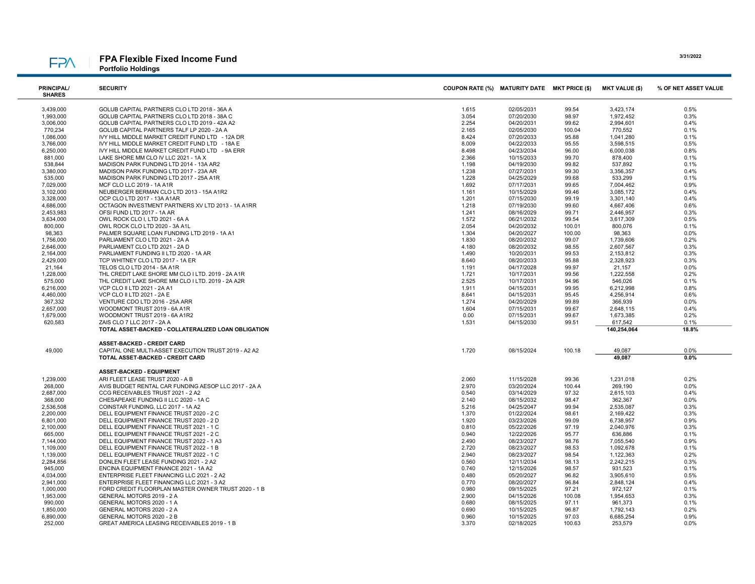# **FPA**

FPA Flexible Fixed Income Fund Portfolio Holdings

| <b>PRINCIPAL/</b><br><b>SHARES</b> | <b>SECURITY</b>                                        | COUPON RATE (%) MATURITY DATE MKT PRICE (\$) |                          |                | <b>MKT VALUE (\$)</b> | % OF NET ASSET VALUE |
|------------------------------------|--------------------------------------------------------|----------------------------------------------|--------------------------|----------------|-----------------------|----------------------|
| 3,439,000                          | GOLUB CAPITAL PARTNERS CLO LTD 2018 - 36A A            | 1.615                                        | 02/05/2031               | 99.54          | 3,423,174             | 0.5%                 |
| 1,993,000                          | GOLUB CAPITAL PARTNERS CLO LTD 2018 - 38A C            | 3.054                                        | 07/20/2030               | 98.97          | 1,972,452             | 0.3%                 |
| 3,006,000                          | GOLUB CAPITAL PARTNERS CLO LTD 2019 - 42A A2           | 2.254                                        | 04/20/2031               | 99.62          | 2,994,601             | 0.4%                 |
| 770,234                            | GOLUB CAPITAL PARTNERS TALF LP 2020 - 2A A             | 2.165                                        | 02/05/2030               | 100.04         | 770,552               | 0.1%                 |
| 1,086,000                          | IVY HILL MIDDLE MARKET CREDIT FUND LTD - 12A DR        | 8.424                                        | 07/20/2033               | 95.88          | 1,041,280             | 0.1%                 |
| 3,766,000                          | IVY HILL MIDDLE MARKET CREDIT FUND LTD - 18A E         | 8.009                                        | 04/22/2033               | 95.55          | 3,598,515             | 0.5%                 |
| 6,250,000                          | IVY HILL MIDDLE MARKET CREDIT FUND LTD - 9A ERR        | 8.498                                        | 04/23/2034               | 96.00          | 6,000,038             | 0.8%                 |
| 881,000                            | LAKE SHORE MM CLO IV LLC 2021 - 1A X                   | 2.366                                        | 10/15/2033               | 99.70          | 878,400               | 0.1%                 |
| 538,844                            | MADISON PARK FUNDING LTD 2014 - 13A AR2                | 1.198                                        | 04/19/2030               | 99.82          | 537,892               | 0.1%                 |
| 3,380,000                          | MADISON PARK FUNDING LTD 2017 - 23A AR                 | 1.238                                        | 07/27/2031               | 99.30          | 3,356,357             | 0.4%                 |
| 535,000                            | MADISON PARK FUNDING LTD 2017 - 25A A1R                | 1.228                                        | 04/25/2029               | 99.68          | 533,299               | 0.1%                 |
| 7,029,000                          | MCF CLO LLC 2019 - 1A A1R                              | 1.692                                        | 07/17/2031               | 99.65          | 7,004,462             | 0.9%                 |
| 3,102,000                          | NEUBERGER BERMAN CLO LTD 2013 - 15A A1R2               | 1.161                                        | 10/15/2029               | 99.46          | 3,085,172             | 0.4%                 |
| 3,328,000                          | OCP CLO LTD 2017 - 13A A1AR                            | 1.201                                        | 07/15/2030               | 99.19          | 3,301,140             | 0.4%                 |
| 4,686,000                          | OCTAGON INVESTMENT PARTNERS XV LTD 2013 - 1A A1RR      | 1.218                                        | 07/19/2030               | 99.60          | 4,667,406             | 0.6%                 |
| 2,453,983                          | OFSI FUND LTD 2017 - 1A AR                             | 1.241                                        | 08/16/2029               | 99.71          | 2,446,957             | 0.3%                 |
| 3,634,000                          | OWL ROCK CLO I, LTD 2021 - 6A A                        | 1.572                                        | 06/21/2032               | 99.54          | 3,617,309             | 0.5%                 |
| 800,000                            | OWL ROCK CLO LTD 2020 - 3A A1L                         | 2.054                                        | 04/20/2032               | 100.01         | 800,076               | 0.1%                 |
| 98,363                             | PALMER SQUARE LOAN FUNDING LTD 2019 - 1A A1            | 1.304                                        | 04/20/2027               | 100.00         | 98,363                | 0.0%                 |
| 1,756,000                          | PARLIAMENT CLO LTD 2021 - 2A A                         | 1.830                                        | 08/20/2032               | 99.07          | 1,739,606             | 0.2%                 |
| 2,646,000                          | PARLIAMENT CLO LTD 2021 - 2A D                         | 4.180                                        | 08/20/2032               | 98.55          | 2,607,567             | 0.3%                 |
| 2,164,000                          | PARLIAMENT FUNDING II LTD 2020 - 1A AR                 | 1.490                                        | 10/20/2031               | 99.53          | 2,153,812             | 0.3%                 |
| 2,429,000                          | TCP WHITNEY CLO LTD 2017 - 1A ER                       | 8.640                                        | 08/20/2033               | 95.88          | 2,328,923             | 0.3%                 |
| 21,164                             | TELOS CLO LTD 2014 - 5A A1R                            | 1.191                                        | 04/17/2028               | 99.97          | 21,157                | 0.0%                 |
| 1,228,000                          | THL CREDIT LAKE SHORE MM CLO I LTD. 2019 - 2A A1R      | 1.721                                        | 10/17/2031               | 99.56          | 1,222,558             | 0.2%                 |
| 575,000                            | THL CREDIT LAKE SHORE MM CLO I LTD. 2019 - 2A A2R      | 2.525                                        | 10/17/2031               | 94.96          | 546,026               | 0.1%                 |
| 6,216,000                          | VCP CLO II LTD 2021 - 2A A1                            | 1.911                                        | 04/15/2031               | 99.95          | 6,212,998             | 0.8%                 |
| 4,460,000                          | <b>VCP CLO II LTD 2021 - 2A E</b>                      | 8.641                                        | 04/15/2031               | 95.45          | 4,256,914             | 0.6%                 |
| 367,332                            | VENTURE CDO LTD 2016 - 25A ARR                         | 1.274                                        | 04/20/2029               | 99.89          | 366,939               | 0.0%                 |
| 2,657,000                          | WOODMONT TRUST 2019 - 6A A1R                           | 1.604                                        | 07/15/2031               | 99.67          | 2,648,115             | 0.4%                 |
| 1,679,000                          | WOODMONT TRUST 2019 - 6A A1R2                          | 0.00                                         | 07/15/2031               | 99.67          | 1,673,385             | 0.2%                 |
| 620,583                            | ZAIS CLO 7 LLC 2017 - 2A A                             | 1.531                                        | 04/15/2030               | 99.51          | 617,542               | 0.1%                 |
|                                    | TOTAL ASSET-BACKED - COLLATERALIZED LOAN OBLIGATION    |                                              |                          |                | 140,254,064           | 18.8%                |
|                                    | ASSET-BACKED - CREDIT CARD                             |                                              |                          |                |                       |                      |
| 49,000                             | CAPITAL ONE MULTI-ASSET EXECUTION TRUST 2019 - A2 A2   | 1.720                                        | 08/15/2024               | 100.18         | 49,087                | 0.0%                 |
|                                    | TOTAL ASSET-BACKED - CREDIT CARD                       |                                              |                          |                | 49.087                | 0.0%                 |
|                                    | <b>ASSET-BACKED - EQUIPMENT</b>                        |                                              |                          |                |                       |                      |
| 1,239,000                          | ARI FLEET LEASE TRUST 2020 - A B                       | 2.060                                        | 11/15/2028               | 99.36          | 1,231,018             | 0.2%                 |
| 268,000                            | AVIS BUDGET RENTAL CAR FUNDING AESOP LLC 2017 - 2A A   | 2.970                                        | 03/20/2024               | 100.44         | 269,190               | 0.0%                 |
| 2,687,000                          | CCG RECEIVABLES TRUST 2021 - 2 A2                      | 0.540                                        | 03/14/2029               | 97.32          | 2,615,103             | 0.4%                 |
| 368,000                            | CHESAPEAKE FUNDING II LLC 2020 - 1A C                  | 2.140                                        | 08/15/2032               | 98.47          | 362,367               | 0.0%                 |
| 2,536,508                          | COINSTAR FUNDING, LLC 2017 - 1A A2                     | 5.216                                        | 04/25/2047               | 99.94          | 2,535,087             | 0.3%                 |
| 2,200,000                          | DELL EQUIPMENT FINANCE TRUST 2020 - 2 C                | 1.370                                        | 01/22/2024               | 98.61          | 2,169,422             | 0.3%                 |
| 6,801,000                          | DELL EQUIPMENT FINANCE TRUST 2020 - 2 D                | 1.920                                        | 03/23/2026               | 99.09          | 6,738,957             | 0.9%                 |
| 2,100,000                          | DELL EQUIPMENT FINANCE TRUST 2021 - 1 C                | 0.810                                        | 05/22/2026               | 97.19          | 2,040,976             | 0.3%                 |
| 665,000                            | DELL EQUIPMENT FINANCE TRUST 2021 - 2 C                | 0.940                                        | 12/22/2026               | 95.77          | 636,886               | 0.1%                 |
| 7,144,000                          | DELL EQUIPMENT FINANCE TRUST 2022 - 1 A3               | 2.490                                        | 08/23/2027               | 98.76          | 7,055,540             | 0.9%                 |
| 1,109,000                          | DELL EQUIPMENT FINANCE TRUST 2022 - 1 B                | 2.720                                        | 08/23/2027               | 98.53          | 1,092,678             | 0.1%                 |
| 1,139,000                          | DELL EQUIPMENT FINANCE TRUST 2022 - 1 C                | 2.940                                        | 08/23/2027               | 98.54          | 1,122,363             | 0.2%                 |
| 2,284,856                          | DONLEN FLEET LEASE FUNDING 2021 - 2 A2                 | 0.560                                        | 12/11/2034               | 98.13          | 2,242,215             | 0.3%                 |
| 945,000                            | ENCINA EQUIPMENT FINANCE 2021 - 1A A2                  | 0.740                                        | 12/15/2026               | 98.57          | 931,523               | 0.1%                 |
| 4,034,000                          | ENTERPRISE FLEET FINANCING LLC 2021 - 2 A2             | 0.480                                        | 05/20/2027               | 96.82          | 3,905,610             | 0.5%                 |
| 2,941,000                          | ENTERPRISE FLEET FINANCING LLC 2021 - 3 A2             | 0.770                                        | 08/20/2027               | 96.84          | 2,848,124             | 0.4%                 |
| 1,000,000                          | FORD CREDIT FLOORPLAN MASTER OWNER TRUST 2020 - 1 B    | 0.980                                        | 09/15/2025               | 97.21          | 972,127               | 0.1%                 |
| 1,953,000                          | GENERAL MOTORS 2019 - 2 A                              | 2.900                                        | 04/15/2026               | 100.08         | 1,954,653             | 0.3%                 |
| 990,000<br>1,850,000               | GENERAL MOTORS 2020 - 1 A<br>GENERAL MOTORS 2020 - 2 A | 0.680<br>0.690                               | 08/15/2025<br>10/15/2025 | 97.11<br>96.87 | 961,373<br>1,792,143  | 0.1%<br>0.2%         |
| 6,890,000                          | GENERAL MOTORS 2020 - 2 B                              | 0.960                                        | 10/15/2025               | 97.03          |                       | 0.9%                 |
| 252.000                            | GREAT AMERICA LEASING RECEIVABLES 2019 - 1 B           | 3.370                                        | 02/18/2025               | 100.63         | 6,685,254<br>253,579  | 0.0%                 |
|                                    |                                                        |                                              |                          |                |                       |                      |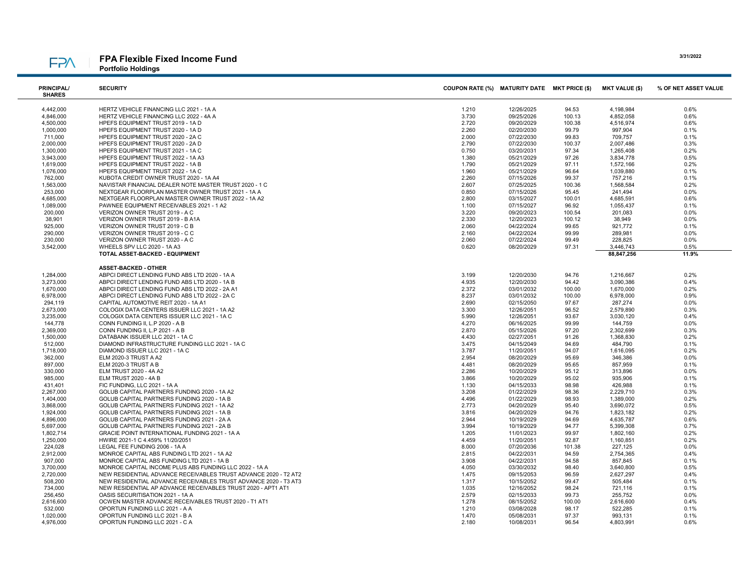# **FPA**

### FPA Flexible Fixed Income Fund Portfolio Holdings

| <b>PRINCIPAL/</b><br><b>SHARES</b> | <b>SECURITY</b>                                        | COUPON RATE (%) MATURITY DATE MKT PRICE (\$) |            |        | <b>MKT VALUE (\$)</b> | % OF NET ASSET VALUE |
|------------------------------------|--------------------------------------------------------|----------------------------------------------|------------|--------|-----------------------|----------------------|
| 4,442,000                          | HERTZ VEHICLE FINANCING LLC 2021 - 1A A                | 1.210                                        | 12/26/2025 | 94.53  | 4.198.984             | 0.6%                 |
| 4,846,000                          | HERTZ VEHICLE FINANCING LLC 2022 - 4A A                | 3.730                                        | 09/25/2026 | 100.13 | 4,852,058             | 0.6%                 |
| 4,500,000                          | HPEFS EQUIPMENT TRUST 2019 - 1A D                      | 2.720                                        | 09/20/2029 | 100.38 | 4,516,974             | 0.6%                 |
| 1,000,000                          | HPEFS EQUIPMENT TRUST 2020 - 1A D                      | 2.260                                        | 02/20/2030 | 99.79  | 997,904               | 0.1%                 |
| 711,000                            | HPEFS EQUIPMENT TRUST 2020 - 2A C                      | 2.000                                        | 07/22/2030 | 99.83  | 709,757               | 0.1%                 |
| 2,000,000                          | HPEFS EQUIPMENT TRUST 2020 - 2A D                      | 2.790                                        | 07/22/2030 | 100.37 | 2,007,486             | 0.3%                 |
| 1,300,000                          | HPEFS EQUIPMENT TRUST 2021 - 1A C                      | 0.750                                        | 03/20/2031 | 97.34  | 1,265,408             | 0.2%                 |
| 3,943,000                          | HPEFS EQUIPMENT TRUST 2022 - 1A A3                     | 1.380                                        | 05/21/2029 | 97.26  | 3,834,778             | 0.5%                 |
| 1,619,000                          | HPEFS EQUIPMENT TRUST 2022 - 1A B                      | 1.790                                        | 05/21/2029 | 97.11  | 1,572,166             | 0.2%                 |
| 1,076,000                          | HPEFS EQUIPMENT TRUST 2022 - 1A C                      | 1.960                                        | 05/21/2029 | 96.64  | 1,039,880             | 0.1%                 |
| 762,000                            | KUBOTA CREDIT OWNER TRUST 2020 - 1A A4                 | 2.260                                        | 07/15/2026 | 99.37  | 757,216               | 0.1%                 |
| 1,563,000                          | NAVISTAR FINANCIAL DEALER NOTE MASTER TRUST 2020 - 1 C | 2.607                                        | 07/25/2025 | 100.36 | 1,568,584             | 0.2%                 |
| 253,000                            | NEXTGEAR FLOORPLAN MASTER OWNER TRUST 2021 - 1A A      | 0.850                                        | 07/15/2026 | 95.45  | 241,494               | 0.0%                 |
| 4,685,000                          | NEXTGEAR FLOORPLAN MASTER OWNER TRUST 2022 - 1A A2     | 2.800                                        | 03/15/2027 | 100.01 | 4,685,591             | 0.6%                 |
| 1,089,000                          | PAWNEE EQUIPMENT RECEIVABLES 2021 - 1 A2               | 1.100                                        | 07/15/2027 | 96.92  | 1,055,437             | 0.1%                 |
| 200,000                            | VERIZON OWNER TRUST 2019 - A C                         | 3.220                                        | 09/20/2023 | 100.54 | 201,083               | 0.0%                 |
| 38,901                             | VERIZON OWNER TRUST 2019 - B A1A                       | 2.330                                        | 12/20/2023 | 100.12 | 38,949                | 0.0%                 |
| 925,000                            | VERIZON OWNER TRUST 2019 - C B                         | 2.060                                        |            | 99.65  |                       | 0.1%                 |
|                                    |                                                        |                                              | 04/22/2024 |        | 921,772               |                      |
| 290,000                            | VERIZON OWNER TRUST 2019 - C C                         | 2.160                                        | 04/22/2024 | 99.99  | 289,981               | 0.0%                 |
| 230,000                            | VERIZON OWNER TRUST 2020 - A C                         | 2.060                                        | 07/22/2024 | 99.49  | 228,825               | 0.0%<br>0.5%         |
| 3,542,000                          | WHEELS SPV LLC 2020 - 1A A3                            | 0.620                                        | 08/20/2029 | 97.31  | 3,446,743             |                      |
|                                    | TOTAL ASSET-BACKED - EQUIPMENT                         |                                              |            |        | 88,847,256            | 11.9%                |
|                                    | <b>ASSET-BACKED - OTHER</b>                            |                                              |            |        |                       |                      |
| 1,284,000                          | ABPCI DIRECT LENDING FUND ABS LTD 2020 - 1A A          | 3.199                                        | 12/20/2030 | 94.76  | 1.216.667             | 0.2%                 |
| 3,273,000                          | ABPCI DIRECT LENDING FUND ABS LTD 2020 - 1A B          | 4.935                                        | 12/20/2030 | 94.42  | 3,090,386             | 0.4%                 |
| 1,670,000                          | ABPCI DIRECT LENDING FUND ABS LTD 2022 - 2A A1         | 2.372                                        | 03/01/2032 | 100.00 | 1,670,000             | 0.2%                 |
| 6,978,000                          | ABPCI DIRECT LENDING FUND ABS LTD 2022 - 2A C          | 8.237                                        | 03/01/2032 | 100.00 | 6,978,000             | 0.9%                 |
| 294,119                            | CAPITAL AUTOMOTIVE REIT 2020 - 1A A1                   | 2.690                                        | 02/15/2050 | 97.67  | 287,274               | 0.0%                 |
| 2,673,000                          | COLOGIX DATA CENTERS ISSUER LLC 2021 - 1A A2           | 3.300                                        | 12/26/2051 | 96.52  | 2,579,890             | 0.3%                 |
| 3,235,000                          | COLOGIX DATA CENTERS ISSUER LLC 2021 - 1A C            | 5.990                                        | 12/26/2051 | 93.67  | 3,030,120             | 0.4%                 |
| 144,778                            | CONN FUNDING II, L.P 2020 - A B                        | 4.270                                        | 06/16/2025 | 99.99  | 144,759               | 0.0%                 |
| 2,369,000                          | CONN FUNDING II, L.P 2021 - A B                        | 2.870                                        | 05/15/2026 | 97.20  | 2,302,699             | 0.3%                 |
| 1,500,000                          | DATABANK ISSUER LLC 2021 - 1A C                        | 4.430                                        | 02/27/2051 | 91.26  | 1,368,830             | 0.2%                 |
| 512,000                            | DIAMOND INFRASTRUCTURE FUNDING LLC 2021 - 1A C         | 3.475                                        | 04/15/2049 | 94.69  | 484,790               | 0.1%                 |
| 1,718,000                          | DIAMOND ISSUER LLC 2021 - 1A C                         | 3.787                                        | 11/20/2051 | 94.07  | 1,616,095             | 0.2%                 |
| 362,000                            | ELM 2020-3 TRUST A A2                                  | 2.954                                        | 08/20/2029 | 95.69  | 346,386               | 0.0%                 |
| 897,000                            | ELM 2020-3 TRUST A B                                   | 4.481                                        | 08/20/2029 | 95.65  | 857,959               | 0.1%                 |
| 330,000                            | ELM TRUST 2020 - 4A A2                                 | 2.286                                        | 10/20/2029 | 95.12  | 313,896               | 0.0%                 |
| 985,000                            | <b>ELM TRUST 2020 - 4A B</b>                           | 3.866                                        | 10/20/2029 | 95.02  | 935,906               | 0.1%                 |
| 431.401                            | FIC FUNDING, LLC 2021 - 1A A                           | 1.130                                        | 04/15/2033 | 98.98  | 426,988               | 0.1%                 |
| 2,267,000                          | GOLUB CAPITAL PARTNERS FUNDING 2020 - 1A A2            | 3.208                                        | 01/22/2029 | 98.36  | 2,229,710             | 0.3%                 |
| 1,404,000                          | GOLUB CAPITAL PARTNERS FUNDING 2020 - 1A B             | 4.496                                        | 01/22/2029 | 98.93  | 1,389,000             | 0.2%                 |
| 3,868,000                          | GOLUB CAPITAL PARTNERS FUNDING 2021 - 1A A2            | 2.773                                        | 04/20/2029 | 95.40  | 3,690,072             | 0.5%                 |
| 1,924,000                          | GOLUB CAPITAL PARTNERS FUNDING 2021 - 1A B             | 3.816                                        | 04/20/2029 | 94.76  | 1,823,182             | 0.2%                 |
| 4,896,000                          | GOLUB CAPITAL PARTNERS FUNDING 2021 - 2A A             | 2.944                                        | 10/19/2029 | 94.69  | 4,635,787             | 0.6%                 |
| 5,697,000                          | GOLUB CAPITAL PARTNERS FUNDING 2021 - 2A B             | 3.994                                        | 10/19/2029 | 94.77  | 5,399,308             | 0.7%                 |
| 1,802,714                          | GRACIE POINT INTERNATIONAL FUNDING 2021 - 1A A         | 1.205                                        | 11/01/2023 | 99.97  | 1,802,160             | 0.2%                 |
| 1,250,000                          | HWIRE 2021-1 C 4.459% 11/20/2051                       | 4.459                                        | 11/20/2051 | 92.87  | 1,160,851             | 0.2%                 |
| 224,028                            | LEGAL FEE FUNDING 2006 - 1A A                          | 8.000                                        | 07/20/2036 | 101.38 | 227,125               | 0.0%                 |
| 2,912,000                          | MONROE CAPITAL ABS FUNDING LTD 2021 - 1A A2            | 2.815                                        | 04/22/2031 | 94.59  | 2,754,365             | 0.4%                 |
| 907,000                            | MONROE CAPITAL ABS FUNDING LTD 2021 - 1A B             | 3.908                                        | 04/22/2031 | 94.58  | 857,845               | 0.1%                 |
| 3,700,000                          | MONROE CAPITAL INCOME PLUS ABS FUNDING LLC 2022 - 1A A | 4.050                                        | 03/30/2032 | 98.40  | 3.640.800             | 0.5%                 |

| 3,700,000 | MONROE CAPITAL INCOME PLUS ABS FUNDING LLC 2022 - 1A A          | 4.050 | 03/30/2032 | 98.40  | 3.640.800 | 0.5% |
|-----------|-----------------------------------------------------------------|-------|------------|--------|-----------|------|
| 2.720.000 | NEW RESIDENTIAL ADVANCE RECEIVABLES TRUST ADVANCE 2020 - T2 AT2 | 1.475 | 09/15/2053 | 96.59  | 2.627.297 | 0.4% |
| 508,200   | NEW RESIDENTIAL ADVANCE RECEIVABLES TRUST ADVANCE 2020 - T3 AT3 | 1.317 | 10/15/2052 | 99.47  | 505.484   | 0.1% |
| 734,000   | NEW RESIDENTIAL AP ADVANCE RECEIVABLES TRUST 2020 - APT1 AT1    | 1.035 | 12/16/2052 | 98.24  | 721.116   | 0.1% |
| 256,450   | OASIS SECURITISATION 2021 - 1A A                                | 2.579 | 02/15/2033 | 99.73  | 255.752   | 0.0% |
| 2,616,600 | OCWEN MASTER ADVANCE RECEIVABLES TRUST 2020 - T1 AT1            | 1.278 | 08/15/2052 | 100.00 | 2,616,600 | 0.4% |
| 532,000   | OPORTUN FUNDING LLC 2021 - A A                                  | 1.210 | 03/08/2028 | 98.17  | 522.285   | 0.1% |
| 1,020,000 | OPORTUN FUNDING LLC 2021 - B A                                  | 1.470 | 05/08/2031 | 97.37  | 993.131   | 0.1% |
| 4.976.000 | OPORTUN FUNDING LLC 2021 - C A                                  | 2.180 | 10/08/2031 | 96.54  | 4.803.991 | 0.6% |

3/31/2022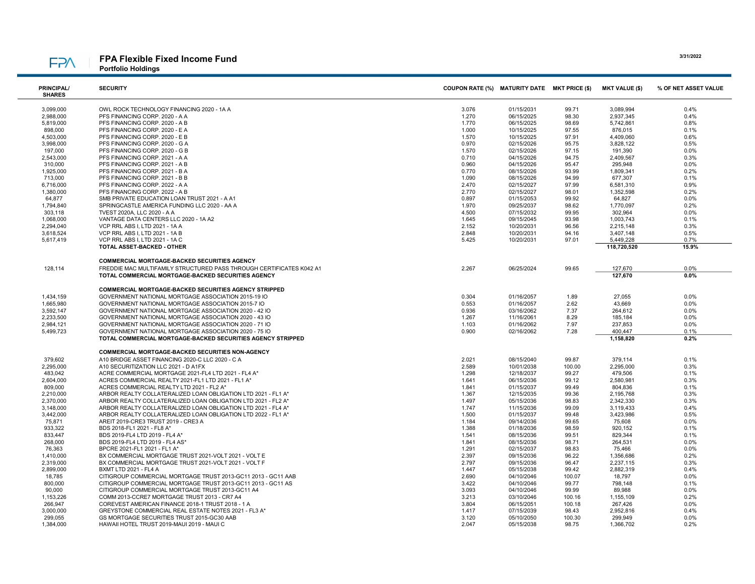### FPA Flexible Fixed Income Fund Portfolio Holdings

PRINCIPAL/ SHARES

**FPA** 

| <b>PRINCIPAL/</b><br><b>SHARES</b> | <b>SECURITY</b>                           | COUPON RATE (%) MATURITY DATE MKT PRICE (\$) |            |       | <b>MKT VALUE (\$)</b> | % OF NET ASSET VALUE |
|------------------------------------|-------------------------------------------|----------------------------------------------|------------|-------|-----------------------|----------------------|
| 3,099,000                          | OWL ROCK TECHNOLOGY FINANCING 2020 - 1A A | 3.076                                        | 01/15/2031 | 99.71 | 3.089.994             | 0.4%                 |
| 2,988,000                          | PFS FINANCING CORP. 2020 - A A            | 1.270                                        | 06/15/2025 | 98.30 | 2.937.345             | 0.4%                 |
| 5,819,000                          | PFS FINANCING CORP. 2020 - A B            | 1.770                                        | 06/15/2025 | 98.69 | 5.742.861             | 0.8%                 |
| 898,000                            | PFS FINANCING CORP. 2020 - E A            | 1.000                                        | 10/15/2025 | 97.55 | 876.015               | 0.1%                 |
| 4,503,000                          | PFS FINANCING CORP. 2020 - E B            | 1.570                                        | 10/15/2025 | 97.91 | 4.409.060             | 0.6%                 |
| 3,998,000                          | PFS FINANCING CORP. 2020 - G A            | 0.970                                        | 02/15/2026 | 95.75 | 3.828.122             | 0.5%                 |
| 197,000                            | PFS FINANCING CORP. 2020 - G B            | 1.570                                        | 02/15/2026 | 97.15 | 191.390               | 0.0%                 |
| 2,543,000                          | PFS FINANCING CORP. 2021 - A A            | 0.710                                        | 04/15/2026 | 94.75 | 2,409,567             | 0.3%                 |
| 310,000                            | PFS FINANCING CORP. 2021 - A B            | 0.960                                        | 04/15/2026 | 95.47 | 295.948               | 0.0%                 |
| .                                  |                                           | ----                                         |            | ----  | . <b>.</b>            | $- - - -$            |

| 1,925,000 | PFS FINANCING CORP. 2021 - B A                                       | 0.770 | 08/15/2026 | 93.99  | 1,809,341   | 0.2%    |
|-----------|----------------------------------------------------------------------|-------|------------|--------|-------------|---------|
| 713,000   | PFS FINANCING CORP. 2021 - B B                                       | 1.090 | 08/15/2026 | 94.99  | 677,307     | 0.1%    |
| 6.716.000 | PFS FINANCING CORP. 2022 - A A                                       | 2.470 | 02/15/2027 | 97.99  | 6.581.310   | 0.9%    |
| 1,380,000 | PFS FINANCING CORP. 2022 - A B                                       | 2.770 | 02/15/2027 | 98.01  | 1,352,598   | 0.2%    |
| 64,877    | SMB PRIVATE EDUCATION LOAN TRUST 2021 - A A1                         | 0.897 | 01/15/2053 | 99.92  | 64,827      | 0.0%    |
| 1,794,840 | SPRINGCASTLE AMERICA FUNDING LLC 2020 - AA A                         | 1.970 | 09/25/2037 | 98.62  | 1.770.097   | 0.2%    |
| 303.118   | TVEST 2020A, LLC 2020 - A A                                          | 4.500 | 07/15/2032 | 99.95  | 302.964     | 0.0%    |
| 1,068,000 | VANTAGE DATA CENTERS LLC 2020 - 1A A2                                | 1.645 | 09/15/2045 | 93.98  | 1,003,743   | 0.1%    |
| 2,294,040 | VCP RRL ABS I, LTD 2021 - 1A A                                       | 2.152 | 10/20/2031 | 96.56  | 2,215,148   | 0.3%    |
| 3,618,524 | VCP RRL ABS I. LTD 2021 - 1A B                                       | 2.848 | 10/20/2031 | 94.16  | 3,407,148   | 0.5%    |
| 5,617,419 | VCP RRL ABS I. LTD 2021 - 1A C                                       | 5.425 | 10/20/2031 | 97.01  | 5.449.228   | 0.7%    |
|           | TOTAL ASSET-BACKED - OTHER                                           |       |            |        | 118,720,520 | 15.9%   |
|           |                                                                      |       |            |        |             |         |
|           | COMMERCIAL MORTGAGE-BACKED SECURITIES AGENCY                         |       |            |        |             |         |
| 128,114   | FREDDIE MAC MULTIFAMILY STRUCTURED PASS THROUGH CERTIFICATES K042 A1 | 2.267 | 06/25/2024 | 99.65  | 127,670     | 0.0%    |
|           | TOTAL COMMERCIAL MORTGAGE-BACKED SECURITIES AGENCY                   |       |            |        | 127,670     | $0.0\%$ |
|           |                                                                      |       |            |        |             |         |
|           | <b>COMMERCIAL MORTGAGE-BACKED SECURITIES AGENCY STRIPPED</b>         |       |            |        |             |         |
| 1,434,159 | GOVERNMENT NATIONAL MORTGAGE ASSOCIATION 2015-19 IO                  | 0.304 | 01/16/2057 | 1.89   | 27.055      | $0.0\%$ |
| 1,665,980 | GOVERNMENT NATIONAL MORTGAGE ASSOCIATION 2015-7 IO                   | 0.553 | 01/16/2057 | 2.62   | 43.669      | 0.0%    |
|           |                                                                      |       |            |        |             |         |
| 3,592,147 | GOVERNMENT NATIONAL MORTGAGE ASSOCIATION 2020 - 42 IO                | 0.936 | 03/16/2062 | 7.37   | 264.612     | 0.0%    |
| 2,233,500 | GOVERNMENT NATIONAL MORTGAGE ASSOCIATION 2020 - 43 IO                | 1.267 | 11/16/2061 | 8.29   | 185,184     | 0.0%    |
| 2,984,121 | GOVERNMENT NATIONAL MORTGAGE ASSOCIATION 2020 - 71 IO                | 1.103 | 01/16/2062 | 7.97   | 237,853     | $0.0\%$ |
| 5,499,723 | GOVERNMENT NATIONAL MORTGAGE ASSOCIATION 2020 - 75 IO                | 0.900 | 02/16/2062 | 7.28   | 400,447     | 0.1%    |
|           | TOTAL COMMERCIAL MORTGAGE-BACKED SECURITIES AGENCY STRIPPED          |       |            |        | 1,158,820   | 0.2%    |
|           |                                                                      |       |            |        |             |         |
|           | COMMERCIAL MORTGAGE-BACKED SECURITIES NON-AGENCY                     |       |            |        |             |         |
| 379,602   | A10 BRIDGE ASSET FINANCING 2020-C LLC 2020 - C A                     | 2.021 | 08/15/2040 | 99.87  | 379.114     | 0.1%    |
| 2,295,000 | A10 SECURITIZATION LLC 2021 - D A1FX                                 | 2.589 | 10/01/2038 | 100.00 | 2,295,000   | 0.3%    |
| 483.042   | ACRE COMMERCIAL MORTGAGE 2021-FL4 LTD 2021 - FL4 A*                  | 1.298 | 12/18/2037 | 99.27  | 479.506     | 0.1%    |
| 2,604,000 | ACRES COMMERCIAL REALTY 2021-FL1 LTD 2021 - FL1 A*                   | 1.641 | 06/15/2036 | 99.12  | 2,580,981   | 0.3%    |
| 809,000   | ACRES COMMERCIAL REALTY LTD 2021 - FL2 A*                            | 1.841 | 01/15/2037 | 99.49  | 804.836     | 0.1%    |
| 2,210,000 | ARBOR REALTY COLLATERALIZED LOAN OBLIGATION LTD 2021 - FL1 A*        | 1.367 | 12/15/2035 | 99.36  | 2,195,768   | 0.3%    |
| 2,370,000 | ARBOR REALTY COLLATERALIZED LOAN OBLIGATION LTD 2021 - FL2 A*        | 1.497 | 05/15/2036 | 98.83  | 2,342,330   | 0.3%    |
| 3,148,000 | ARBOR REALTY COLLATERALIZED LOAN OBLIGATION LTD 2021 - FL4 A*        | 1.747 | 11/15/2036 | 99.09  | 3,119,433   | 0.4%    |
| 3,442,000 | ARBOR REALTY COLLATERALIZED LOAN OBLIGATION LTD 2022 - FL1 A*        | 1.500 | 01/15/2037 | 99.48  | 3,423,986   | 0.5%    |
| 75,871    | AREIT 2019-CRE3 TRUST 2019 - CRE3 A                                  | 1.184 | 09/14/2036 | 99.65  | 75.608      | $0.0\%$ |
| 933,322   | BDS 2018-FL1 2021 - FL8 A*                                           | 1.388 | 01/18/2036 | 98.59  | 920,152     | 0.1%    |
| 833,447   | BDS 2019-FL4 LTD 2019 - FL4 A*                                       | 1.541 | 08/15/2036 | 99.51  | 829,344     | 0.1%    |
| 268,000   | BDS 2019-FL4 LTD 2019 - FL4 AS*                                      | 1.841 | 08/15/2036 | 98.71  | 264,531     | $0.0\%$ |
| 76,363    | BPCRE 2021-FL1 2021 - FL1 A*                                         | 1.291 | 02/15/2037 | 98.83  | 75,466      | 0.0%    |
| 1.410.000 | BX COMMERCIAL MORTGAGE TRUST 2021-VOLT 2021 - VOLT E                 | 2.397 | 09/15/2036 | 96.22  | 1.356.686   | 0.2%    |
| 2,319,000 | BX COMMERCIAL MORTGAGE TRUST 2021-VOLT 2021 - VOLT F                 | 2.797 | 09/15/2036 | 96.47  | 2,237,115   | 0.3%    |
| 2,899,000 | <b>BXMT LTD 2021 - FL4 A</b>                                         | 1.447 | 05/15/2038 | 99.42  | 2,882,319   | 0.4%    |
| 18,785    | CITIGROUP COMMERCIAL MORTGAGE TRUST 2013-GC11 2013 - GC11 AAB        | 2.690 | 04/10/2046 | 100.07 | 18.797      | 0.0%    |
| 800,000   | CITIGROUP COMMERCIAL MORTGAGE TRUST 2013-GC11 2013 - GC11 AS         | 3.422 | 04/10/2046 | 99.77  | 798,148     | 0.1%    |
| 90,000    | CITIGROUP COMMERCIAL MORTGAGE TRUST 2013-GC11 A4                     | 3.093 | 04/10/2046 | 99.99  | 89.988      | 0.0%    |
| 1,153,226 | COMM 2013-CCRE7 MORTGAGE TRUST 2013 - CR7 A4                         | 3.213 | 03/10/2046 | 100.16 | 1,155,109   | 0.2%    |
| 266,947   | COREVEST AMERICAN FINANCE 2018-1 TRUST 2018 - 1 A                    | 3.804 | 06/15/2051 | 100.18 | 267,426     | $0.0\%$ |
| 3,000,000 | GREYSTONE COMMERCIAL REAL ESTATE NOTES 2021 - FL3 A*                 | 1.417 | 07/15/2039 | 98.43  | 2,952,816   | 0.4%    |
|           |                                                                      |       |            |        |             |         |
| 299,055   | GS MORTGAGE SECURITIES TRUST 2015-GC30 AAB                           | 3.120 | 05/10/2050 | 100.30 | 299,949     | 0.0%    |
| 1,384,000 | HAWAII HOTEL TRUST 2019-MAUI 2019 - MAUI C                           | 2.047 | 05/15/2038 | 98.75  | 1,366,702   | 0.2%    |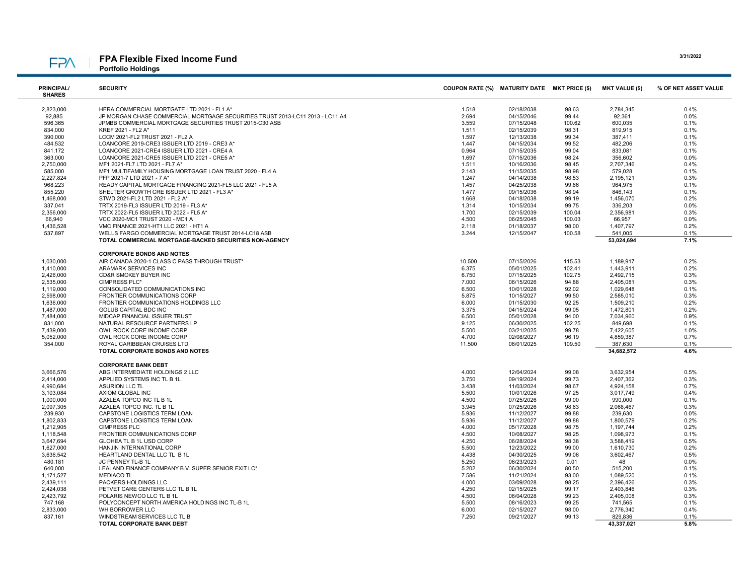## FPA Flexible Fixed Income Fund

**FPA** 

Portfolio Holdings

| <b>PRINCIPAL/</b>      | <b>SECURITY</b>                                                               | COUPON RATE (%) MATURITY DATE MKT PRICE (\$) |            |                | <b>MKT VALUE (\$)</b> | % OF NET ASSET VALUE |
|------------------------|-------------------------------------------------------------------------------|----------------------------------------------|------------|----------------|-----------------------|----------------------|
| <b>SHARES</b>          |                                                                               |                                              |            |                |                       |                      |
| 2,823,000              | HERA COMMERCIAL MORTGATE LTD 2021 - FL1 A*                                    | 1.518                                        | 02/18/2038 | 98.63          | 2,784,345             | 0.4%                 |
| 92,885                 | JP MORGAN CHASE COMMERCIAL MORTGAGE SECURITIES TRUST 2013-LC11 2013 - LC11 A4 | 2.694                                        | 04/15/2046 | 99.44          | 92,361                | 0.0%                 |
| 596,365                | JPMBB COMMERCIAL MORTGAGE SECURITIES TRUST 2015-C30 ASB                       | 3.559                                        | 07/15/2048 | 100.62         | 600,035               | 0.1%                 |
| 834,000                | KREF 2021 - FL2 A*                                                            | 1.511                                        | 02/15/2039 | 98.31          | 819,915               | 0.1%                 |
| 390,000                | LCCM 2021-FL2 TRUST 2021 - FL2 A                                              | 1.597                                        | 12/13/2038 | 99.34          | 387,411               | 0.1%                 |
| 484,532                | LOANCORE 2019-CRE3 ISSUER LTD 2019 - CRE3 A*                                  | 1.447                                        | 04/15/2034 | 99.52          | 482,206               | 0.1%                 |
| 841,172                | LOANCORE 2021-CRE4 ISSUER LTD 2021 - CRE4 A                                   | 0.964                                        | 07/15/2035 | 99.04          | 833,081               | 0.1%                 |
| 363,000                | LOANCORE 2021-CRE5 ISSUER LTD 2021 - CRE5 A*                                  | 1.697                                        | 07/15/2036 | 98.24          | 356,602               | 0.0%                 |
| 2,750,000              | MF1 2021-FL7 LTD 2021 - FL7 A*                                                | 1.511                                        | 10/16/2036 | 98.45          | 2,707,346             | 0.4%                 |
| 585,000                | MF1 MULTIFAMILY HOUSING MORTGAGE LOAN TRUST 2020 - FL4 A                      | 2.143                                        | 11/15/2035 | 98.98          | 579,028               | 0.1%                 |
| 2,227,824              | PFP 2021-7 LTD 2021 - 7 A*                                                    | 1.247                                        | 04/14/2038 | 98.53          | 2,195,121             | 0.3%                 |
| 968,223                | READY CAPITAL MORTGAGE FINANCING 2021-FL5 LLC 2021 - FL5 A                    | 1.457                                        | 04/25/2038 | 99.66          | 964,975               | 0.1%                 |
| 855,220                | SHELTER GROWTH CRE ISSUER LTD 2021 - FL3 A*                                   | 1.477                                        | 09/15/2036 | 98.94          | 846,143               | 0.1%                 |
| 1,468,000              | STWD 2021-FL2 LTD 2021 - FL2 A*                                               | 1.668                                        | 04/18/2038 | 99.19          | 1,456,070             | 0.2%                 |
| 337,041                | TRTX 2019-FL3 ISSUER LTD 2019 - FL3 A*                                        | 1.314                                        | 10/15/2034 | 99.75          | 336,203               | 0.0%                 |
| 2,356,000              | TRTX 2022-FL5 ISSUER LTD 2022 - FL5 A*                                        | 1.700                                        | 02/15/2039 | 100.04         | 2,356,981             | 0.3%                 |
| 66,940                 | VCC 2020-MC1 TRUST 2020 - MC1 A                                               | 4.500                                        | 06/25/2045 | 100.03         | 66,957                | 0.0%                 |
| 1,436,528              | VMC FINANCE 2021-HT1 LLC 2021 - HT1 A                                         | 2.118                                        | 01/18/2037 | 98.00          | 1,407,797             | 0.2%                 |
| 537,897                | WELLS FARGO COMMERCIAL MORTGAGE TRUST 2014-LC18 ASB                           | 3.244                                        | 12/15/2047 | 100.58         | 541,005               | 0.1%                 |
|                        | TOTAL COMMERCIAL MORTGAGE-BACKED SECURITIES NON-AGENCY                        |                                              |            |                | 53,024,694            | 7.1%                 |
|                        |                                                                               |                                              |            |                |                       |                      |
|                        | <b>CORPORATE BONDS AND NOTES</b>                                              |                                              |            |                |                       |                      |
| 1,030,000              | AIR CANADA 2020-1 CLASS C PASS THROUGH TRUST*                                 | 10.500                                       | 07/15/2026 | 115.53         | 1,189,917             | 0.2%                 |
| 1,410,000              | ARAMARK SERVICES INC                                                          | 6.375                                        | 05/01/2025 | 102.41         | 1,443,911             | 0.2%                 |
| 2,426,000              | <b>CD&amp;R SMOKEY BUYER INC</b>                                              | 6.750                                        | 07/15/2025 | 102.75         | 2,492,715             | 0.3%                 |
| 2,535,000              | CIMPRESS PLC*                                                                 | 7.000                                        | 06/15/2026 | 94.88          | 2,405,081             | 0.3%                 |
| 1,119,000              | CONSOLIDATED COMMUNICATIONS INC                                               | 6.500                                        | 10/01/2028 | 92.02          | 1,029,648             | 0.1%                 |
| 2,598,000              | FRONTIER COMMUNICATIONS CORP                                                  | 5.875                                        | 10/15/2027 | 99.50          | 2,585,010             | 0.3%                 |
| 1,636,000              | FRONTIER COMMUNICATIONS HOLDINGS LLC                                          | 6.000                                        | 01/15/2030 | 92.25          | 1,509,210             | 0.2%                 |
| 1,487,000              | <b>GOLUB CAPITAL BDC INC</b>                                                  | 3.375                                        | 04/15/2024 | 99.05          | 1,472,801             | 0.2%                 |
| 7,484,000              | MIDCAP FINANCIAL ISSUER TRUST                                                 | 6.500                                        | 05/01/2028 | 94.00          | 7,034,960             | 0.9%                 |
| 831,000                | NATURAL RESOURCE PARTNERS LP                                                  | 9.125                                        | 06/30/2025 | 102.25         | 849,698               | 0.1%                 |
| 7,439,000              | OWL ROCK CORE INCOME CORP                                                     | 5.500                                        | 03/21/2025 | 99.78          | 7,422,605             | 1.0%                 |
| 5,052,000              | OWL ROCK CORE INCOME CORP                                                     | 4.700                                        | 02/08/2027 | 96.19          | 4,859,387             | 0.7%                 |
| 354,000                | ROYAL CARIBBEAN CRUISES LTD                                                   | 11.500                                       | 06/01/2025 | 109.50         | 387,630               | 0.1%                 |
|                        | TOTAL CORPORATE BONDS AND NOTES                                               |                                              |            |                | 34,682,572            | 4.6%                 |
|                        |                                                                               |                                              |            |                |                       |                      |
|                        | <b>CORPORATE BANK DEBT</b>                                                    |                                              |            |                |                       |                      |
| 3,666,576              | ABG INTERMEDIATE HOLDINGS 2 LLC                                               | 4.000                                        | 12/04/2024 | 99.08          | 3,632,954             | 0.5%                 |
| 2,414,000              | APPLIED SYSTEMS INC TL B 1L                                                   | 3.750                                        | 09/19/2024 | 99.73          | 2,407,362             | 0.3%                 |
| 4,990,684              | <b>ASURION LLC TL</b>                                                         | 3.438                                        | 11/03/2024 | 98.67          | 4,924,158             | 0.7%                 |
| 3,103,084              | AXIOM GLOBAL INC                                                              | 5.500                                        | 10/01/2026 | 97.25          | 3,017,749             | 0.4%                 |
| 1,000,000              | AZALEA TOPCO INC TL B 1L                                                      | 4.500                                        | 07/25/2026 | 99.00          | 990,000               | 0.1%                 |
| 2,097,305              | AZALEA TOPCO INC. TL B 1L                                                     | 3.945                                        | 07/25/2026 | 98.63          | 2,068,467             | 0.3%                 |
| 239,930                | CAPSTONE LOGISTICS TERM LOAN                                                  | 5.936                                        | 11/12/2027 | 99.88          | 239,630               | 0.0%                 |
| 1,802,833              | CAPSTONE LOGISTICS TERM LOAN                                                  | 5.936                                        | 11/12/2027 | 99.88          | 1,800,579             | 0.2%                 |
| 1,212,905              | <b>CIMPRESS PLC</b>                                                           | 4.000                                        | 05/17/2028 | 98.75          | 1,197,744             | 0.2%                 |
| 1,118,548<br>3,647,694 | FRONTIER COMMUNICATIONS CORP                                                  | 4.500                                        | 10/08/2027 | 98.25          | 1,098,973             | 0.1%                 |
|                        | GLOHEA TL B 1L USD CORP                                                       | 4.250                                        | 06/28/2024 | 98.38          | 3,588,419             | 0.5%                 |
| 1,627,000              | HANJIN INTERNATIONAL CORP                                                     | 5.500                                        | 12/23/2022 | 99.00          | 1,610,730             | 0.2%                 |
| 3,636,542              | HEARTLAND DENTAL LLC TL B 1L                                                  | 4.438                                        | 04/30/2025 | 99.06          | 3,602,467             | 0.5%                 |
| 480,181                | JC PENNEY TL-B 1L                                                             | 5.250                                        | 06/23/2023 | 0.01           | 48                    | 0.0%                 |
| 640,000                | LEALAND FINANCE COMPANY B.V. SUPER SENIOR EXIT LC*<br><b>MEDIACO TL</b>       | 5.202<br>7.586                               | 06/30/2024 | 80.50<br>93.00 | 515,200<br>1,089,520  | 0.1%<br>0.1%         |
| 1,171,527              |                                                                               |                                              | 11/21/2024 |                |                       |                      |
| 2,439,111              | PACKERS HOLDINGS LLC                                                          | 4.000                                        | 03/09/2028 | 98.25          | 2,396,426             | 0.3%                 |
| 2,424,038              | PETVET CARE CENTERS LLC TL B 1L                                               | 4.250                                        | 02/15/2025 | 99.17          | 2,403,846             | 0.3%                 |
| 2,423,792              | POLARIS NEWCO LLC TL B 1L                                                     | 4.500                                        | 06/04/2028 | 99.23          | 2,405,008             | 0.3%                 |
| 747,168<br>2,833,000   | POLYCONCEPT NORTH AMERICA HOLDINGS INC TL-B 1L                                | 5.500                                        | 08/16/2023 | 99.25<br>98.00 | 741,565               | 0.1%<br>0.4%         |
|                        | WH BORROWER LLC                                                               | 6.000                                        | 02/15/2027 |                | 2,776,340             |                      |
| 837,161                | WINDSTREAM SERVICES LLC TL B<br><b>TOTAL CORPORATE BANK DEBT</b>              | 7.250                                        | 09/21/2027 | 99.13          | 829,836<br>43,337,021 | 0.1%<br>5.8%         |
|                        |                                                                               |                                              |            |                |                       |                      |

3/31/2022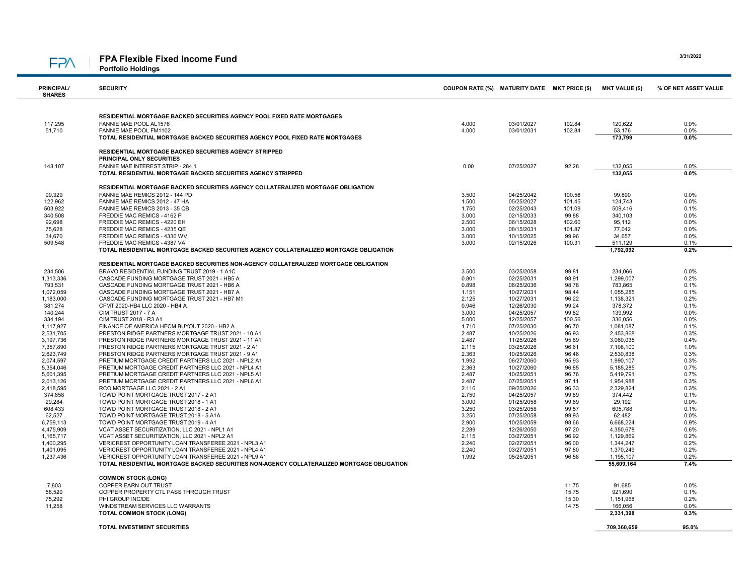#### FPA Flexible Fixed Income Fund **FPA**

Portfolio Holdings

| <b>PRINCIPAL/</b><br><b>SHARES</b> | <b>SECURITY</b>                                                                                                                                    | COUPON RATE (%) MATURITY DATE MKT PRICE (\$) |                          |                 | <b>MKT VALUE (\$)</b>   | % OF NET ASSET VALUE |
|------------------------------------|----------------------------------------------------------------------------------------------------------------------------------------------------|----------------------------------------------|--------------------------|-----------------|-------------------------|----------------------|
|                                    |                                                                                                                                                    |                                              |                          |                 |                         |                      |
|                                    | RESIDENTIAL MORTGAGE BACKED SECURITIES AGENCY POOL FIXED RATE MORTGAGES                                                                            |                                              |                          |                 |                         |                      |
| 117,295                            | FANNIE MAE POOL AL1576                                                                                                                             | 4.000                                        | 03/01/2027               | 102.84          | 120,622                 | 0.0%                 |
| 51,710                             | FANNIE MAE POOL FM1102                                                                                                                             | 4.000                                        | 03/01/2031               | 102.84          | 53.176                  | 0.0%                 |
|                                    | TOTAL RESIDENTIAL MORTGAGE BACKED SECURITIES AGENCY POOL FIXED RATE MORTGAGES                                                                      |                                              |                          |                 | 173,799                 | 0.0%                 |
|                                    |                                                                                                                                                    |                                              |                          |                 |                         |                      |
|                                    | <b>RESIDENTIAL MORTGAGE BACKED SECURITIES AGENCY STRIPPED</b><br><b>PRINCIPAL ONLY SECURITIES</b>                                                  |                                              |                          |                 |                         |                      |
| 143,107                            | FANNIE MAE INTEREST STRIP - 284 1                                                                                                                  | 0.00                                         | 07/25/2027               | 92.28           | 132,055                 | 0.0%                 |
|                                    | TOTAL RESIDENTIAL MORTGAGE BACKED SECURITIES AGENCY STRIPPED                                                                                       |                                              |                          |                 | 132.055                 | 0.0%                 |
|                                    |                                                                                                                                                    |                                              |                          |                 |                         |                      |
|                                    | RESIDENTIAL MORTGAGE BACKED SECURITIES AGENCY COLLATERALIZED MORTGAGE OBLIGATION                                                                   |                                              |                          |                 |                         |                      |
| 99,329                             | FANNIE MAE REMICS 2012 - 144 PD                                                                                                                    | 3.500                                        | 04/25/2042               | 100.56          | 99,890                  | 0.0%                 |
| 122.962                            | FANNIE MAE REMICS 2012 - 47 HA                                                                                                                     | 1.500                                        | 05/25/2027               | 101.45          | 124.743                 | 0.0%                 |
| 503,922                            | FANNIE MAE REMICS 2013 - 35 QB<br>FREDDIE MAC REMICS - 4162 P                                                                                      | 1.750                                        | 02/25/2043               | 101.09          | 509,416                 | 0.1%                 |
| 340,508<br>92,698                  | FREDDIE MAC REMICS - 4220 EH                                                                                                                       | 3.000<br>2.500                               | 02/15/2033<br>06/15/2028 | 99.88<br>102.60 | 340,103<br>95,112       | 0.0%<br>0.0%         |
| 75,628                             | FREDDIE MAC REMICS - 4235 QE                                                                                                                       | 3.000                                        | 08/15/2031               | 101.87          | 77,042                  | 0.0%                 |
| 34,670                             | FREDDIE MAC REMICS - 4336 WV                                                                                                                       | 3.000                                        | 10/15/2025               | 99.96           | 34,657                  | 0.0%                 |
| 509,548                            | FREDDIE MAC REMICS - 4387 VA                                                                                                                       | 3.000                                        | 02/15/2026               | 100.31          | 511,129                 | 0.1%                 |
|                                    | TOTAL RESIDENTIAL MORTGAGE BACKED SECURITIES AGENCY COLLATERALIZED MORTGAGE OBLIGATION                                                             |                                              |                          |                 | 1,792,092               | 0.2%                 |
|                                    |                                                                                                                                                    |                                              |                          |                 |                         |                      |
|                                    | RESIDENTIAL MORTGAGE BACKED SECURITIES NON-AGENCY COLLATERALIZED MORTGAGE OBLIGATION                                                               |                                              |                          |                 |                         |                      |
| 234.506                            | BRAVO RESIDENTIAL FUNDING TRUST 2019 - 1 A1C                                                                                                       | 3.500                                        | 03/25/2058               | 99.81           | 234.066                 | 0.0%                 |
| 1,313,336                          | CASCADE FUNDING MORTGAGE TRUST 2021 - HB5 A                                                                                                        | 0.801                                        | 02/25/2031               | 98.91           | 1,299,007               | 0.2%                 |
| 793,531                            | CASCADE FUNDING MORTGAGE TRUST 2021 - HB6 A                                                                                                        | 0.898                                        | 06/25/2036               | 98.78           | 783,865                 | 0.1%                 |
| 1,072,059                          | CASCADE FUNDING MORTGAGE TRUST 2021 - HB7 A                                                                                                        | 1.151                                        | 10/27/2031               | 98.44           | 1,055,285               | 0.1%                 |
| 1,183,000                          | CASCADE FUNDING MORTGAGE TRUST 2021 - HB7 M1                                                                                                       | 2.125                                        | 10/27/2031               | 96.22           | 1,138,321               | 0.2%                 |
| 381,274                            | CFMT 2020-HB4 LLC 2020 - HB4 A                                                                                                                     | 0.946                                        | 12/26/2030               | 99.24           | 378,372                 | 0.1%                 |
| 140,244                            | <b>CIM TRUST 2017 - 7 A</b>                                                                                                                        | 3.000                                        | 04/25/2057               | 99.82           | 139,992                 | 0.0%                 |
| 334,194                            | CIM TRUST 2018 - R3 A1                                                                                                                             | 5.000                                        | 12/25/2057               | 100.56          | 336,056                 | 0.0%                 |
| 1,117,927                          | FINANCE OF AMERICA HECM BUYOUT 2020 - HB2 A                                                                                                        | 1.710                                        | 07/25/2030               | 96.70           | 1,081,087               | 0.1%                 |
| 2,531,705<br>3,197,736             | PRESTON RIDGE PARTNERS MORTGAGE TRUST 2021 - 10 A1<br>PRESTON RIDGE PARTNERS MORTGAGE TRUST 2021 - 11 A1                                           | 2.487<br>2.487                               | 10/25/2026<br>11/25/2026 | 96.93<br>95.69  | 2,453,868<br>3,060,035  | 0.3%<br>0.4%         |
| 7,357,890                          | PRESTON RIDGE PARTNERS MORTGAGE TRUST 2021 - 2 A1                                                                                                  | 2.115                                        | 03/25/2026               | 96.61           | 7,108,100               | 1.0%                 |
| 2,623,749                          | PRESTON RIDGE PARTNERS MORTGAGE TRUST 2021 - 9 A1                                                                                                  | 2.363                                        | 10/25/2026               | 96.46           | 2,530,838               | 0.3%                 |
| 2,074,597                          | PRETIUM MORTGAGE CREDIT PARTNERS LLC 2021 - NPL2 A1                                                                                                | 1.992                                        | 06/27/2060               | 95.93           | 1,990,107               | 0.3%                 |
| 5,354,046                          | PRETIUM MORTGAGE CREDIT PARTNERS LLC 2021 - NPL4 A1                                                                                                | 2.363                                        | 10/27/2060               | 96.85           | 5,185,285               | 0.7%                 |
| 5.601.395                          | PRETIUM MORTGAGE CREDIT PARTNERS LLC 2021 - NPL5 A1                                                                                                | 2.487                                        | 10/25/2051               | 96.76           | 5,419,791               | 0.7%                 |
| 2,013,126                          | PRETIUM MORTGAGE CREDIT PARTNERS LLC 2021 - NPL6 A1                                                                                                | 2.487                                        | 07/25/2051               | 97.11           | 1,954,988               | 0.3%                 |
| 2,418,595                          | RCO MORTGAGE LLC 2021 - 2 A1                                                                                                                       | 2.116                                        | 09/25/2026               | 96.33           | 2,329,824               | 0.3%                 |
| 374,858                            | TOWD POINT MORTGAGE TRUST 2017 - 2 A1                                                                                                              | 2.750                                        | 04/25/2057               | 99.89           | 374,442                 | 0.1%                 |
| 29,284                             | TOWD POINT MORTGAGE TRUST 2018 - 1 A1                                                                                                              | 3.000                                        | 01/25/2058               | 99.69           | 29,192                  | 0.0%                 |
| 608,433                            | TOWD POINT MORTGAGE TRUST 2018 - 2 A1                                                                                                              | 3.250                                        | 03/25/2058               | 99.57           | 605,788                 | 0.1%                 |
| 62,527                             | TOWD POINT MORTGAGE TRUST 2018 - 5 A1A                                                                                                             | 3.250                                        | 07/25/2058               | 99.93           | 62,482                  | 0.0%                 |
| 6,759,113                          | TOWD POINT MORTGAGE TRUST 2019 - 4 A1                                                                                                              | 2.900                                        | 10/25/2059               | 98.66           | 6,668,224               | 0.9%                 |
| 4,475,909                          | VCAT ASSET SECURITIZATION, LLC 2021 - NPL1 A1                                                                                                      | 2.289                                        | 12/26/2050               | 97.20           | 4,350,678               | 0.6%                 |
| 1,165,717                          | VCAT ASSET SECURITIZATION, LLC 2021 - NPL2 A1                                                                                                      | 2.115                                        | 03/27/2051               | 96.92           | 1,129,869               | 0.2%                 |
| 1,400,295                          | VERICREST OPPORTUNITY LOAN TRANSFEREE 2021 - NPL3 A1                                                                                               | 2.240                                        | 02/27/2051               | 96.00           | 1,344,247               | 0.2%                 |
| 1,401,095                          | VERICREST OPPORTUNITY LOAN TRANSFEREE 2021 - NPL4 A1                                                                                               | 2.240                                        | 03/27/2051               | 97.80           | 1,370,249               | 0.2%                 |
| 1,237,436                          | VERICREST OPPORTUNITY LOAN TRANSFEREE 2021 - NPL9 A1<br>TOTAL RESIDENTIAL MORTGAGE BACKED SECURITIES NON-AGENCY COLLATERALIZED MORTGAGE OBLIGATION | 1.992                                        | 05/25/2051               | 96.58           | 1,195,107<br>55,609,164 | 0.2%<br>7.4%         |
|                                    | <b>COMMON STOCK (LONG)</b>                                                                                                                         |                                              |                          |                 |                         |                      |
| 7,803                              | COPPER EARN OUT TRUST                                                                                                                              |                                              |                          | 11.75           | 91,685                  | 0.0%                 |
| 58,520                             | COPPER PROPERTY CTL PASS THROUGH TRUST                                                                                                             |                                              |                          | 15.75           | 921,690                 | 0.1%                 |
| 75,292                             | PHI GROUP INC/DE                                                                                                                                   |                                              |                          | 15.30           | 1,151,968               | 0.2%                 |
| 11,258                             | WINDSTREAM SERVICES LLC WARRANTS                                                                                                                   |                                              |                          | 14.75           | 166,056                 | 0.0%                 |
|                                    | <b>TOTAL COMMON STOCK (LONG)</b>                                                                                                                   |                                              |                          |                 | 2,331,398               | 0.3%                 |
|                                    | <b>TOTAL INVESTMENT SECURITIES</b>                                                                                                                 |                                              |                          |                 | 709.360.659             | 95.0%                |